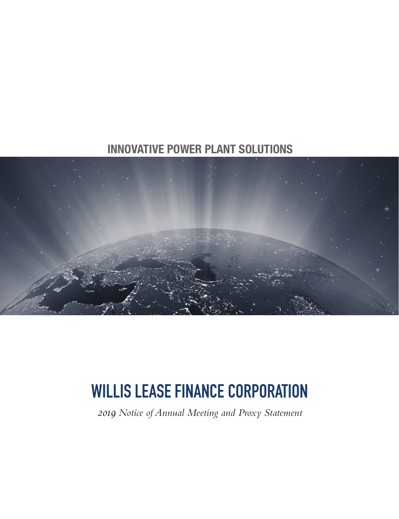# **INNOVATIVE POWER PLANT SOLUTIONS**



# WILLIS LEASE FINANCE CORPORATION

*2019 Notice of Annual Meeting and Proxy Statement*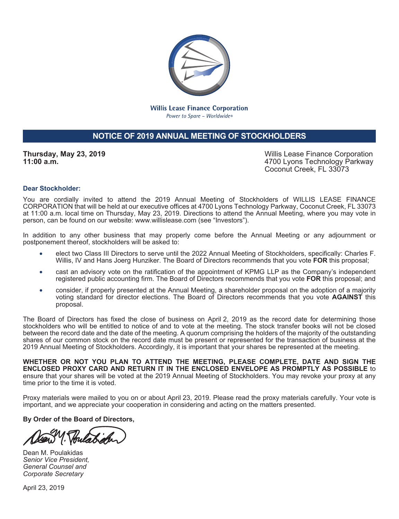

**Willis Lease Finance Corporation** Power to Spare - Worldwide®

# **NOTICE OF 2019 ANNUAL MEETING OF STOCKHOLDERS**

**Thursday, May 23, 2019 11:00 a.m.**

Willis Lease Finance Corporation 4700 Lyons Technology Parkway Coconut Creek, FL 33073

#### **Dear Stockholder:**

You are cordially invited to attend the 2019 Annual Meeting of Stockholders of WILLIS LEASE FINANCE CORPORATION that will be held at our executive offices at 4700 Lyons Technology Parkway, Coconut Creek, FL 33073 at 11:00 a.m. local time on Thursday, May 23, 2019. Directions to attend the Annual Meeting, where you may vote in person, can be found on our website: www.willislease.com (see "Investors").

In addition to any other business that may properly come before the Annual Meeting or any adjournment or postponement thereof, stockholders will be asked to:

- elect two Class III Directors to serve until the 2022 Annual Meeting of Stockholders, specifically: Charles F. Willis, IV and Hans Joerg Hunziker. The Board of Directors recommends that you vote **FOR** this proposal;
- cast an advisory vote on the ratification of the appointment of KPMG LLP as the Company's independent registered public accounting firm. The Board of Directors recommends that you vote **FOR** this proposal; and
- consider, if properly presented at the Annual Meeting, a shareholder proposal on the adoption of a majority voting standard for director elections. The Board of Directors recommends that you vote **AGAINST** this proposal.

The Board of Directors has fixed the close of business on April 2, 2019 as the record date for determining those stockholders who will be entitled to notice of and to vote at the meeting. The stock transfer books will not be closed between the record date and the date of the meeting. A quorum comprising the holders of the majority of the outstanding shares of our common stock on the record date must be present or represented for the transaction of business at the 2019 Annual Meeting of Stockholders. Accordingly, it is important that your shares be represented at the meeting.

**WHETHER OR NOT YOU PLAN TO ATTEND THE MEETING, PLEASE COMPLETE, DATE AND SIGN THE ENCLOSED PROXY CARD AND RETURN IT IN THE ENCLOSED ENVELOPE AS PROMPTLY AS POSSIBLE** to ensure that your shares will be voted at the 2019 Annual Meeting of Stockholders. You may revoke your proxy at any time prior to the time it is voted.

Proxy materials were mailed to you on or about April 23, 2019. Please read the proxy materials carefully. Your vote is important, and we appreciate your cooperation in considering and acting on the matters presented.

**By Order of the Board of Directors,**

Dean M. Poulakidas *Senior Vice President, General Counsel and Corporate Secretary*

April 23, 2019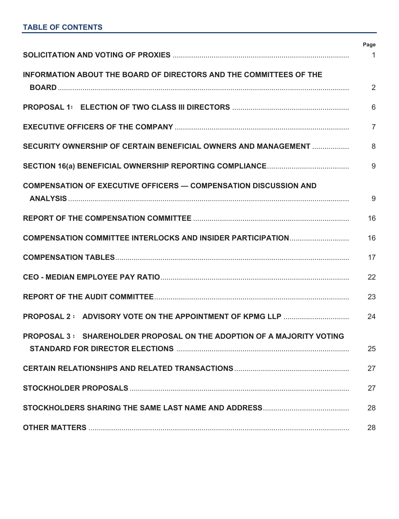|                                                                              | Page            |
|------------------------------------------------------------------------------|-----------------|
|                                                                              | $\mathbf{1}$    |
| INFORMATION ABOUT THE BOARD OF DIRECTORS AND THE COMMITTEES OF THE           | $\overline{2}$  |
|                                                                              | $6\phantom{1}6$ |
|                                                                              | $\overline{7}$  |
| SECURITY OWNERSHIP OF CERTAIN BENEFICIAL OWNERS AND MANAGEMENT               | 8               |
|                                                                              | 9               |
| <b>COMPENSATION OF EXECUTIVE OFFICERS - COMPENSATION DISCUSSION AND</b>      | 9               |
|                                                                              | 16              |
| COMPENSATION COMMITTEE INTERLOCKS AND INSIDER PARTICIPATION                  | 16              |
|                                                                              | 17              |
|                                                                              | 22              |
|                                                                              | 23              |
|                                                                              | 24              |
| <b>PROPOSAL 3: SHAREHOLDER PROPOSAL ON THE ADOPTION OF A MAJORITY VOTING</b> | 25              |
|                                                                              | 27              |
|                                                                              | 27              |
|                                                                              | 28              |
|                                                                              | 28              |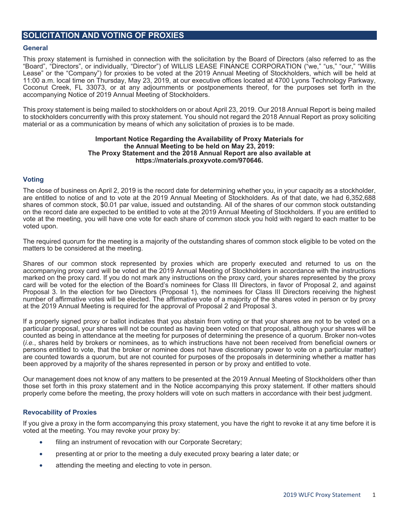# **SOLICITATION AND VOTING OF PROXIES**

#### **General**

This proxy statement is furnished in connection with the solicitation by the Board of Directors (also referred to as the "Board", "Directors", or individually, "Director") of WILLIS LEASE FINANCE CORPORATION ("we," "us," "our," "Willis Lease" or the "Company") for proxies to be voted at the 2019 Annual Meeting of Stockholders, which will be held at 11:00 a.m. local time on Thursday, May 23, 2019, at our executive offices located at 4700 Lyons Technology Parkway, Coconut Creek, FL 33073, or at any adjournments or postponements thereof, for the purposes set forth in the accompanying Notice of 2019 Annual Meeting of Stockholders.

This proxy statement is being mailed to stockholders on or about April 23, 2019. Our 2018 Annual Report is being mailed to stockholders concurrently with this proxy statement. You should not regard the 2018 Annual Report as proxy soliciting material or as a communication by means of which any solicitation of proxies is to be made.

#### **Important Notice Regarding the Availability of Proxy Materials for the Annual Meeting to be held on May 23, 2019: The Proxy Statement and the 2018 Annual Report are also available at https://materials.proxyvote.com/970646.**

#### **Voting**

The close of business on April 2, 2019 is the record date for determining whether you, in your capacity as a stockholder, are entitled to notice of and to vote at the 2019 Annual Meeting of Stockholders. As of that date, we had 6,352,688 shares of common stock, \$0.01 par value, issued and outstanding. All of the shares of our common stock outstanding on the record date are expected to be entitled to vote at the 2019 Annual Meeting of Stockholders. If you are entitled to vote at the meeting, you will have one vote for each share of common stock you hold with regard to each matter to be voted upon.

The required quorum for the meeting is a majority of the outstanding shares of common stock eligible to be voted on the matters to be considered at the meeting.

Shares of our common stock represented by proxies which are properly executed and returned to us on the accompanying proxy card will be voted at the 2019 Annual Meeting of Stockholders in accordance with the instructions marked on the proxy card. If you do not mark any instructions on the proxy card, your shares represented by the proxy card will be voted for the election of the Board's nominees for Class III Directors, in favor of Proposal 2, and against Proposal 3. In the election for two Directors (Proposal 1), the nominees for Class III Directors receiving the highest number of affirmative votes will be elected. The affirmative vote of a majority of the shares voted in person or by proxy at the 2019 Annual Meeting is required for the approval of Proposal 2 and Proposal 3.

If a properly signed proxy or ballot indicates that you abstain from voting or that your shares are not to be voted on a particular proposal, your shares will not be counted as having been voted on that proposal, although your shares will be counted as being in attendance at the meeting for purposes of determining the presence of a quorum. Broker non-votes (*i.e.*, shares held by brokers or nominees, as to which instructions have not been received from beneficial owners or persons entitled to vote, that the broker or nominee does not have discretionary power to vote on a particular matter) are counted towards a quorum, but are not counted for purposes of the proposals in determining whether a matter has been approved by a majority of the shares represented in person or by proxy and entitled to vote.

Our management does not know of any matters to be presented at the 2019 Annual Meeting of Stockholders other than those set forth in this proxy statement and in the Notice accompanying this proxy statement. If other matters should properly come before the meeting, the proxy holders will vote on such matters in accordance with their best judgment.

#### **Revocability of Proxies**

If you give a proxy in the form accompanying this proxy statement, you have the right to revoke it at any time before it is voted at the meeting. You may revoke your proxy by:

- filing an instrument of revocation with our Corporate Secretary;
- presenting at or prior to the meeting a duly executed proxy bearing a later date; or
- attending the meeting and electing to vote in person.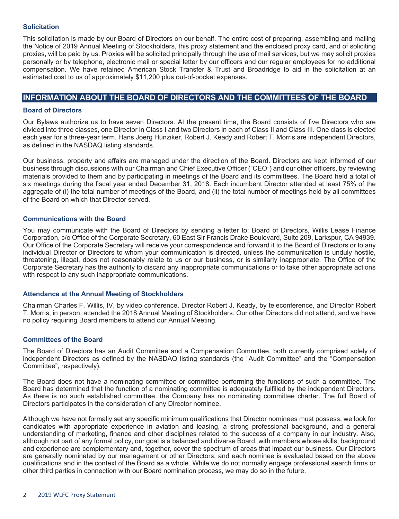#### **Solicitation**

This solicitation is made by our Board of Directors on our behalf. The entire cost of preparing, assembling and mailing the Notice of 2019 Annual Meeting of Stockholders, this proxy statement and the enclosed proxy card, and of soliciting proxies, will be paid by us. Proxies will be solicited principally through the use of mail services, but we may solicit proxies personally or by telephone, electronic mail or special letter by our officers and our regular employees for no additional compensation. We have retained American Stock Transfer & Trust and Broadridge to aid in the solicitation at an estimated cost to us of approximately \$11,200 plus out-of-pocket expenses.

# **INFORMATION ABOUT THE BOARD OF DIRECTORS AND THE COMMITTEES OF THE BOARD**

#### **Board of Directors**

Our Bylaws authorize us to have seven Directors. At the present time, the Board consists of five Directors who are divided into three classes, one Director in Class I and two Directors in each of Class II and Class III. One class is elected each year for a three-year term. Hans Joerg Hunziker, Robert J. Keady and Robert T. Morris are independent Directors, as defined in the NASDAQ listing standards.

Our business, property and affairs are managed under the direction of the Board. Directors are kept informed of our business through discussions with our Chairman and Chief Executive Officer ("CEO") and our other officers, by reviewing materials provided to them and by participating in meetings of the Board and its committees. The Board held a total of six meetings during the fiscal year ended December 31, 2018. Each incumbent Director attended at least 75% of the aggregate of (i) the total number of meetings of the Board, and (ii) the total number of meetings held by all committees of the Board on which that Director served.

#### **Communications with the Board**

You may communicate with the Board of Directors by sending a letter to: Board of Directors, Willis Lease Finance Corporation, c/o Office of the Corporate Secretary, 60 East Sir Francis Drake Boulevard, Suite 209, Larkspur, CA 94939. Our Office of the Corporate Secretary will receive your correspondence and forward it to the Board of Directors or to any individual Director or Directors to whom your communication is directed, unless the communication is unduly hostile, threatening, illegal, does not reasonably relate to us or our business, or is similarly inappropriate. The Office of the Corporate Secretary has the authority to discard any inappropriate communications or to take other appropriate actions with respect to any such inappropriate communications.

#### **Attendance at the Annual Meeting of Stockholders**

Chairman Charles F. Willis, IV, by video conference, Director Robert J. Keady, by teleconference, and Director Robert T. Morris, in person, attended the 2018 Annual Meeting of Stockholders. Our other Directors did not attend, and we have no policy requiring Board members to attend our Annual Meeting.

#### **Committees of the Board**

The Board of Directors has an Audit Committee and a Compensation Committee, both currently comprised solely of independent Directors as defined by the NASDAQ listing standards (the "Audit Committee" and the "Compensation Committee", respectively).

The Board does not have a nominating committee or committee performing the functions of such a committee. The Board has determined that the function of a nominating committee is adequately fulfilled by the independent Directors. As there is no such established committee, the Company has no nominating committee charter. The full Board of Directors participates in the consideration of any Director nominee.

Although we have not formally set any specific minimum qualifications that Director nominees must possess, we look for candidates with appropriate experience in aviation and leasing, a strong professional background, and a general understanding of marketing, finance and other disciplines related to the success of a company in our industry. Also, although not part of any formal policy, our goal is a balanced and diverse Board, with members whose skills, background and experience are complementary and, together, cover the spectrum of areas that impact our business. Our Directors are generally nominated by our management or other Directors, and each nominee is evaluated based on the above qualifications and in the context of the Board as a whole. While we do not normally engage professional search firms or other third parties in connection with our Board nomination process, we may do so in the future.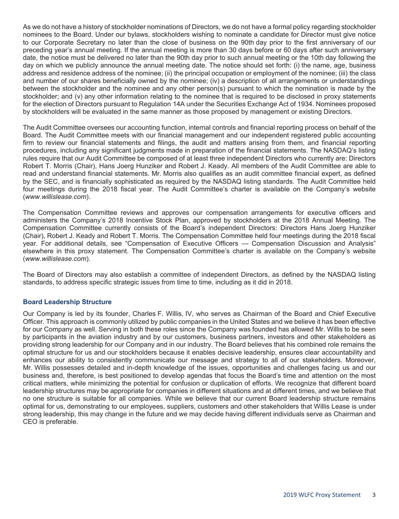As we do not have a history of stockholder nominations of Directors, we do not have a formal policy regarding stockholder nominees to the Board. Under our bylaws, stockholders wishing to nominate a candidate for Director must give notice to our Corporate Secretary no later than the close of business on the 90th day prior to the first anniversary of our preceding year's annual meeting. If the annual meeting is more than 30 days before or 60 days after such anniversary date, the notice must be delivered no later than the 90th day prior to such annual meeting or the 10th day following the day on which we publicly announce the annual meeting date. The notice should set forth: (i) the name, age, business address and residence address of the nominee; (ii) the principal occupation or employment of the nominee; (iii) the class and number of our shares beneficially owned by the nominee; (iv) a description of all arrangements or understandings between the stockholder and the nominee and any other person(s) pursuant to which the nomination is made by the stockholder; and (v) any other information relating to the nominee that is required to be disclosed in proxy statements for the election of Directors pursuant to Regulation 14A under the Securities Exchange Act of 1934. Nominees proposed by stockholders will be evaluated in the same manner as those proposed by management or existing Directors.

The Audit Committee oversees our accounting function, internal controls and financial reporting process on behalf of the Board. The Audit Committee meets with our financial management and our independent registered public accounting firm to review our financial statements and filings, the audit and matters arising from them, and financial reporting procedures, including any significant judgments made in preparation of the financial statements. The NASDAQ's listing rules require that our Audit Committee be composed of at least three independent Directors who currently are: Directors Robert T. Morris (Chair), Hans Joerg Hunziker and Robert J. Keady. All members of the Audit Committee are able to read and understand financial statements. Mr. Morris also qualifies as an audit committee financial expert, as defined by the SEC, and is financially sophisticated as required by the NASDAQ listing standards. The Audit Committee held four meetings during the 2018 fiscal year. The Audit Committee's charter is available on the Company's website (*www.willislease.com*).

The Compensation Committee reviews and approves our compensation arrangements for executive officers and administers the Company's 2018 Incentive Stock Plan, approved by stockholders at the 2018 Annual Meeting. The Compensation Committee currently consists of the Board's independent Directors: Directors Hans Joerg Hunziker (Chair), Robert J. Keady and Robert T. Morris. The Compensation Committee held four meetings during the 2018 fiscal year. For additional details, see "Compensation of Executive Officers — Compensation Discussion and Analysis" elsewhere in this proxy statement. The Compensation Committee's charter is available on the Company's website (*www.willislease.com*).

The Board of Directors may also establish a committee of independent Directors, as defined by the NASDAQ listing standards, to address specific strategic issues from time to time, including as it did in 2018.

#### **Board Leadership Structure**

Our Company is led by its founder, Charles F. Willis, IV, who serves as Chairman of the Board and Chief Executive Officer. This approach is commonly utilized by public companies in the United States and we believe it has been effective for our Company as well. Serving in both these roles since the Company was founded has allowed Mr. Willis to be seen by participants in the aviation industry and by our customers, business partners, investors and other stakeholders as providing strong leadership for our Company and in our industry. The Board believes that his combined role remains the optimal structure for us and our stockholders because it enables decisive leadership, ensures clear accountability and enhances our ability to consistently communicate our message and strategy to all of our stakeholders. Moreover, Mr. Willis possesses detailed and in-depth knowledge of the issues, opportunities and challenges facing us and our business and, therefore, is best positioned to develop agendas that focus the Board's time and attention on the most critical matters, while minimizing the potential for confusion or duplication of efforts. We recognize that different board leadership structures may be appropriate for companies in different situations and at different times, and we believe that no one structure is suitable for all companies. While we believe that our current Board leadership structure remains optimal for us, demonstrating to our employees, suppliers, customers and other stakeholders that Willis Lease is under strong leadership, this may change in the future and we may decide having different individuals serve as Chairman and CEO is preferable.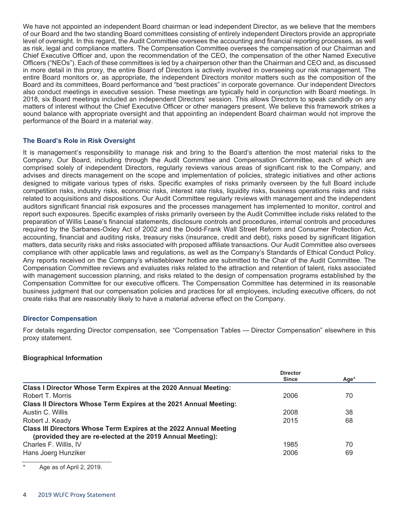We have not appointed an independent Board chairman or lead independent Director, as we believe that the members of our Board and the two standing Board committees consisting of entirely independent Directors provide an appropriate level of oversight. In this regard, the Audit Committee oversees the accounting and financial reporting processes, as well as risk, legal and compliance matters. The Compensation Committee oversees the compensation of our Chairman and Chief Executive Officer and, upon the recommendation of the CEO, the compensation of the other Named Executive Officers ("NEOs"). Each of these committees is led by a chairperson other than the Chairman and CEO and, as discussed in more detail in this proxy, the entire Board of Directors is actively involved in overseeing our risk management. The entire Board monitors or, as appropriate, the independent Directors monitor matters such as the composition of the Board and its committees, Board performance and "best practices" in corporate governance. Our independent Directors also conduct meetings in executive session. These meetings are typically held in conjunction with Board meetings. In 2018, six Board meetings included an independent Directors' session. This allows Directors to speak candidly on any matters of interest without the Chief Executive Officer or other managers present. We believe this framework strikes a sound balance with appropriate oversight and that appointing an independent Board chairman would not improve the performance of the Board in a material way.

#### **The Board's Role in Risk Oversight**

It is management's responsibility to manage risk and bring to the Board's attention the most material risks to the Company. Our Board, including through the Audit Committee and Compensation Committee, each of which are comprised solely of independent Directors, regularly reviews various areas of significant risk to the Company, and advises and directs management on the scope and implementation of policies, strategic initiatives and other actions designed to mitigate various types of risks. Specific examples of risks primarily overseen by the full Board include competition risks, industry risks, economic risks, interest rate risks, liquidity risks, business operations risks and risks related to acquisitions and dispositions. Our Audit Committee regularly reviews with management and the independent auditors significant financial risk exposures and the processes management has implemented to monitor, control and report such exposures. Specific examples of risks primarily overseen by the Audit Committee include risks related to the preparation of Willis Lease's financial statements, disclosure controls and procedures, internal controls and procedures required by the Sarbanes-Oxley Act of 2002 and the Dodd-Frank Wall Street Reform and Consumer Protection Act, accounting, financial and auditing risks, treasury risks (insurance, credit and debt), risks posed by significant litigation matters, data security risks and risks associated with proposed affiliate transactions. Our Audit Committee also oversees compliance with other applicable laws and regulations, as well as the Company's Standards of Ethical Conduct Policy. Any reports received on the Company's whistleblower hotline are submitted to the Chair of the Audit Committee. The Compensation Committee reviews and evaluates risks related to the attraction and retention of talent, risks associated with management succession planning, and risks related to the design of compensation programs established by the Compensation Committee for our executive officers. The Compensation Committee has determined in its reasonable business judgment that our compensation policies and practices for all employees, including executive officers, do not create risks that are reasonably likely to have a material adverse effect on the Company.

#### **Director Compensation**

For details regarding Director compensation, see "Compensation Tables — Director Compensation" elsewhere in this proxy statement.

#### **Biographical Information**

| <b>Director</b> |              |
|-----------------|--------------|
|                 | Age*         |
|                 |              |
| 2006            | 70           |
|                 |              |
| 2008            | 38           |
| 2015            | 68           |
|                 |              |
| 1985            | 70           |
| 2006            | 69           |
|                 | <b>Since</b> |

Age as of April 2, 2019.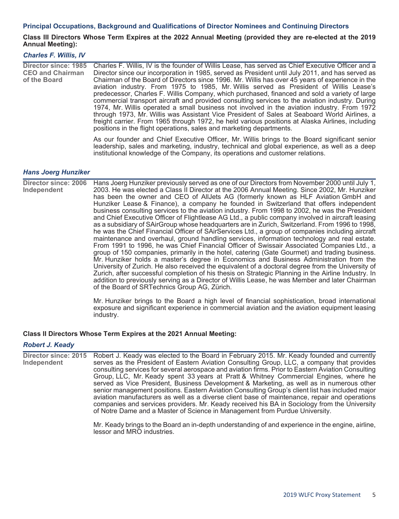#### **Principal Occupations, Background and Qualifications of Director Nominees and Continuing Directors**

#### **Class III Directors Whose Term Expires at the 2022 Annual Meeting (provided they are re-elected at the 2019 Annual Meeting):**

#### *Charles F. Willis, IV*

| Director since: 1985<br><b>CEO and Chairman</b><br>of the Board | Charles F. Willis, IV is the founder of Willis Lease, has served as Chief Executive Officer and a<br>Director since our incorporation in 1985, served as President until July 2011, and has served as<br>Chairman of the Board of Directors since 1996. Mr. Willis has over 45 years of experience in the<br>aviation industry. From 1975 to 1985, Mr. Willis served as President of Willis Lease's<br>predecessor, Charles F. Willis Company, which purchased, financed and sold a variety of large<br>commercial transport aircraft and provided consulting services to the aviation industry. During<br>1974, Mr. Willis operated a small business not involved in the aviation industry. From 1972<br>through 1973, Mr. Willis was Assistant Vice President of Sales at Seaboard World Airlines, a<br>freight carrier. From 1965 through 1972, he held various positions at Alaska Airlines, including |
|-----------------------------------------------------------------|------------------------------------------------------------------------------------------------------------------------------------------------------------------------------------------------------------------------------------------------------------------------------------------------------------------------------------------------------------------------------------------------------------------------------------------------------------------------------------------------------------------------------------------------------------------------------------------------------------------------------------------------------------------------------------------------------------------------------------------------------------------------------------------------------------------------------------------------------------------------------------------------------------|
|                                                                 | positions in the flight operations, sales and marketing departments.                                                                                                                                                                                                                                                                                                                                                                                                                                                                                                                                                                                                                                                                                                                                                                                                                                       |

As our founder and Chief Executive Officer, Mr. Willis brings to the Board significant senior leadership, sales and marketing, industry, technical and global experience, as well as a deep institutional knowledge of the Company, its operations and customer relations.

#### *Hans Joerg Hunziker*

**Director since: 2006 Independent** Hans Joerg Hunziker previously served as one of our Directors from November 2000 until July 1, 2003. He was elected a Class II Director at the 2006 Annual Meeting. Since 2002, Mr. Hunziker has been the owner and CEO of AllJets AG (formerly known as HLF Aviation GmbH and Hunziker Lease & Finance), a company he founded in Switzerland that offers independent business consulting services to the aviation industry. From 1998 to 2002, he was the President and Chief Executive Officer of Flightlease AG Ltd., a public company involved in aircraft leasing as a subsidiary of SAirGroup whose headquarters are in Zurich, Switzerland. From 1996 to 1998, he was the Chief Financial Officer of SAirServices Ltd., a group of companies including aircraft maintenance and overhaul, ground handling services, information technology and real estate. From 1991 to 1996, he was Chief Financial Officer of Swissair Associated Companies Ltd., a group of 150 companies, primarily in the hotel, catering (Gate Gourmet) and trading business. Mr. Hunziker holds a master's degree in Economics and Business Administration from the University of Zurich. He also received the equivalent of a doctoral degree from the University of Zurich, after successful completion of his thesis on Strategic Planning in the Airline Industry. In addition to previously serving as a Director of Willis Lease, he was Member and later Chairman of the Board of SRTechnics Group AG, Zürich.

> Mr. Hunziker brings to the Board a high level of financial sophistication, broad international exposure and significant experience in commercial aviation and the aviation equipment leasing industry.

#### **Class II Directors Whose Term Expires at the 2021 Annual Meeting:**

#### *Robert J. Keady*

**Director since: 2015 Independent** Robert J. Keady was elected to the Board in February 2015. Mr. Keady founded and currently serves as the President of Eastern Aviation Consulting Group, LLC, a company that provides consulting services for several aerospace and aviation firms. Prior to Eastern Aviation Consulting Group, LLC, Mr. Keady spent 33 years at Pratt & Whitney Commercial Engines, where he served as Vice President, Business Development & Marketing, as well as in numerous other senior management positions. Eastern Aviation Consulting Group's client list has included major aviation manufacturers as well as a diverse client base of maintenance, repair and operations companies and services providers. Mr. Keady received his BA in Sociology from the University of Notre Dame and a Master of Science in Management from Purdue University.

> Mr. Keady brings to the Board an in-depth understanding of and experience in the engine, airline, lessor and MRO industries.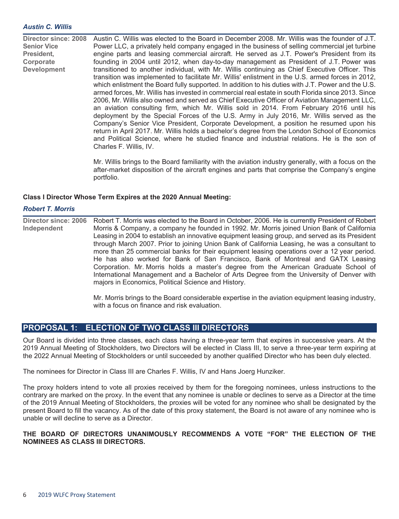#### *Austin C. Willis*

**Director since: 2008 Senior Vice President, Corporate Development** Austin C. Willis was elected to the Board in December 2008. Mr. Willis was the founder of J.T. Power LLC, a privately held company engaged in the business of selling commercial jet turbine engine parts and leasing commercial aircraft. He served as J.T. Power's President from its founding in 2004 until 2012, when day-to-day management as President of J.T. Power was transitioned to another individual, with Mr. Willis continuing as Chief Executive Officer. This transition was implemented to facilitate Mr. Willis' enlistment in the U.S. armed forces in 2012, which enlistment the Board fully supported. In addition to his duties with J.T. Power and the U.S. armed forces, Mr. Willis has invested in commercial real estate in south Florida since 2013. Since 2006, Mr. Willis also owned and served as Chief Executive Officer of Aviation Management LLC, an aviation consulting firm, which Mr. Willis sold in 2014. From February 2016 until his deployment by the Special Forces of the U.S. Army in July 2016, Mr. Willis served as the Company's Senior Vice President, Corporate Development, a position he resumed upon his return in April 2017. Mr. Willis holds a bachelor's degree from the London School of Economics and Political Science, where he studied finance and industrial relations. He is the son of Charles F. Willis, IV.

> Mr. Willis brings to the Board familiarity with the aviation industry generally, with a focus on the after-market disposition of the aircraft engines and parts that comprise the Company's engine portfolio.

#### **Class I Director Whose Term Expires at the 2020 Annual Meeting:**

#### *Robert T. Morris*

**Director since: 2006 Independent** Robert T. Morris was elected to the Board in October, 2006. He is currently President of Robert Morris & Company, a company he founded in 1992. Mr. Morris joined Union Bank of California Leasing in 2004 to establish an innovative equipment leasing group, and served as its President through March 2007. Prior to joining Union Bank of California Leasing, he was a consultant to more than 25 commercial banks for their equipment leasing operations over a 12 year period. He has also worked for Bank of San Francisco, Bank of Montreal and GATX Leasing Corporation. Mr. Morris holds a master's degree from the American Graduate School of International Management and a Bachelor of Arts Degree from the University of Denver with majors in Economics, Political Science and History.

> Mr. Morris brings to the Board considerable expertise in the aviation equipment leasing industry, with a focus on finance and risk evaluation.

# **PROPOSAL 1: ELECTION OF TWO CLASS III DIRECTORS**

Our Board is divided into three classes, each class having a three-year term that expires in successive years. At the 2019 Annual Meeting of Stockholders, two Directors will be elected in Class III, to serve a three-year term expiring at the 2022 Annual Meeting of Stockholders or until succeeded by another qualified Director who has been duly elected.

The nominees for Director in Class III are Charles F. Willis, IV and Hans Joerg Hunziker.

The proxy holders intend to vote all proxies received by them for the foregoing nominees, unless instructions to the contrary are marked on the proxy. In the event that any nominee is unable or declines to serve as a Director at the time of the 2019 Annual Meeting of Stockholders, the proxies will be voted for any nominee who shall be designated by the present Board to fill the vacancy. As of the date of this proxy statement, the Board is not aware of any nominee who is unable or will decline to serve as a Director.

#### **THE BOARD OF DIRECTORS UNANIMOUSLY RECOMMENDS A VOTE "FOR" THE ELECTION OF THE NOMINEES AS CLASS III DIRECTORS.**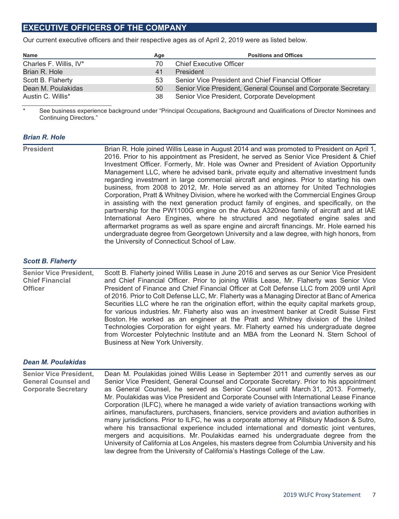# **EXECUTIVE OFFICERS OF THE COMPANY**

Our current executive officers and their respective ages as of April 2, 2019 were as listed below.

| <b>Name</b>            | Age | <b>Positions and Offices</b>                                   |
|------------------------|-----|----------------------------------------------------------------|
| Charles F. Willis, IV* |     | <b>Chief Executive Officer</b>                                 |
| Brian R. Hole          | 41  | <b>President</b>                                               |
| Scott B. Flaherty      | 53  | Senior Vice President and Chief Financial Officer              |
| Dean M. Poulakidas     | 50  | Senior Vice President, General Counsel and Corporate Secretary |
| Austin C. Willis*      | 38  | Senior Vice President, Corporate Development                   |

\* See business experience background under "Principal Occupations, Background and Qualifications of Director Nominees and Continuing Directors."

#### *Brian R. Hole*

| <b>President</b> | Brian R. Hole joined Willis Lease in August 2014 and was promoted to President on April 1,<br>2016. Prior to his appointment as President, he served as Senior Vice President & Chief |
|------------------|---------------------------------------------------------------------------------------------------------------------------------------------------------------------------------------|
|                  |                                                                                                                                                                                       |
|                  | Investment Officer. Formerly, Mr. Hole was Owner and President of Aviation Opportunity                                                                                                |
|                  | Management LLC, where he advised bank, private equity and alternative investment funds                                                                                                |
|                  | regarding investment in large commercial aircraft and engines. Prior to starting his own                                                                                              |
|                  | business, from 2008 to 2012, Mr. Hole served as an attorney for United Technologies                                                                                                   |
|                  | Corporation, Pratt & Whitney Division, where he worked with the Commercial Engines Group                                                                                              |
|                  | in assisting with the next generation product family of engines, and specifically, on the                                                                                             |
|                  | partnership for the PW1100G engine on the Airbus A320neo family of aircraft and at IAE                                                                                                |
|                  | International Aero Engines, where he structured and negotiated engine sales and                                                                                                       |
|                  | aftermarket programs as well as spare engine and aircraft financings. Mr. Hole earned his                                                                                             |
|                  | undergraduate degree from Georgetown University and a law degree, with high honors, from                                                                                              |
|                  | the University of Connecticut School of Law.                                                                                                                                          |
|                  |                                                                                                                                                                                       |

#### *Scott B. Flaherty*

| <b>Senior Vice President,</b> | Scott B. Flaherty joined Willis Lease in June 2016 and serves as our Senior Vice President   |
|-------------------------------|----------------------------------------------------------------------------------------------|
| <b>Chief Financial</b>        | and Chief Financial Officer. Prior to joining Willis Lease, Mr. Flaherty was Senior Vice     |
| <b>Officer</b>                | President of Finance and Chief Financial Officer at Colt Defense LLC from 2009 until April   |
|                               | of 2016. Prior to Colt Defense LLC, Mr. Flaherty was a Managing Director at Banc of America  |
|                               | Securities LLC where he ran the origination effort, within the equity capital markets group, |
|                               | for various industries. Mr. Flaherty also was an investment banker at Credit Suisse First    |
|                               | Boston. He worked as an engineer at the Pratt and Whitney division of the United             |
|                               | Technologies Corporation for eight years. Mr. Flaherty earned his undergraduate degree       |
|                               | from Worcester Polytechnic Institute and an MBA from the Leonard N. Stern School of          |
|                               | Business at New York University.                                                             |

#### *Dean M. Poulakidas*

| <b>Senior Vice President,</b> | Dean M. Poulakidas joined Willis Lease in September 2011 and currently serves as our           |
|-------------------------------|------------------------------------------------------------------------------------------------|
| <b>General Counsel and</b>    | Senior Vice President, General Counsel and Corporate Secretary. Prior to his appointment       |
| <b>Corporate Secretary</b>    | as General Counsel, he served as Senior Counsel until March 31, 2013. Formerly,                |
|                               | Mr. Poulakidas was Vice President and Corporate Counsel with International Lease Finance       |
|                               | Corporation (ILFC), where he managed a wide variety of aviation transactions working with      |
|                               | airlines, manufacturers, purchasers, financiers, service providers and aviation authorities in |
|                               | many jurisdictions. Prior to ILFC, he was a corporate attorney at Pillsbury Madison & Sutro,   |
|                               | where his transactional experience included international and domestic joint ventures,         |
|                               | mergers and acquisitions. Mr. Poulakidas earned his undergraduate degree from the              |
|                               | University of California at Los Angeles, his masters degree from Columbia University and his   |
|                               | law degree from the University of California's Hastings College of the Law.                    |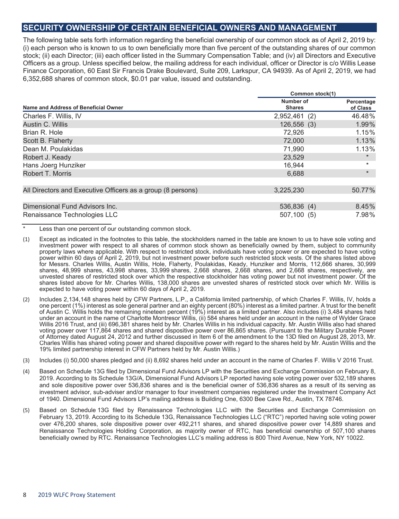# **SECURITY OWNERSHIP OF CERTAIN BENEFICIAL OWNERS AND MANAGEMENT**

The following table sets forth information regarding the beneficial ownership of our common stock as of April 2, 2019 by: (i) each person who is known to us to own beneficially more than five percent of the outstanding shares of our common stock; (ii) each Director; (iii) each officer listed in the Summary Compensation Table; and (iv) all Directors and Executive Officers as a group. Unless specified below, the mailing address for each individual, officer or Director is c/o Willis Lease Finance Corporation, 60 East Sir Francis Drake Boulevard, Suite 209, Larkspur, CA 94939. As of April 2, 2019, we had 6,352,688 shares of common stock, \$0.01 par value, issued and outstanding.

|                                                             | Common stock(1)            |                        |
|-------------------------------------------------------------|----------------------------|------------------------|
| Name and Address of Beneficial Owner                        | Number of<br><b>Shares</b> | Percentage<br>of Class |
| Charles F. Willis, IV                                       | 2,952,461 (2)              | 46.48%                 |
| Austin C. Willis                                            | 126,556(3)                 | 1.99%                  |
| Brian R. Hole                                               | 72,926                     | 1.15%                  |
| Scott B. Flaherty                                           | 72,000                     | 1.13%                  |
| Dean M. Poulakidas                                          | 71,990                     | 1.13%                  |
| Robert J. Keady                                             | 23.529                     | $\star$                |
| Hans Joerg Hunziker                                         | 16,944                     | $\ast$                 |
| Robert T. Morris                                            | 6,688                      | $\star$                |
| All Directors and Executive Officers as a group (8 persons) | 3,225,230                  | 50.77%                 |
| Dimensional Fund Advisors Inc.                              | 536,836 (4)                | 8.45%                  |
| Renaissance Technologies LLC                                | 507,100 (5)                | 7.98%                  |

\* Less than one percent of our outstanding common stock.

- (1) Except as indicated in the footnotes to this table, the stockholders named in the table are known to us to have sole voting and investment power with respect to all shares of common stock shown as beneficially owned by them, subject to community property laws where applicable. With respect to restricted stock, individuals have voting power or are expected to have voting power within 60 days of April 2, 2019, but not investment power before such restricted stock vests. Of the shares listed above for Messrs. Charles Willis, Austin Willis, Hole, Flaherty, Poulakidas, Keady, Hunziker and Morris, 112,666 shares, 30,999 shares, 48,999 shares, 43,998 shares, 33,999 shares, 2,668 shares, 2,668 shares, and 2,668 shares, respectively, are unvested shares of restricted stock over which the respective stockholder has voting power but not investment power. Of the shares listed above for Mr. Charles Willis, 138,000 shares are unvested shares of restricted stock over which Mr. Willis is expected to have voting power within 60 days of April 2, 2019.
- (2) Includes 2,134,148 shares held by CFW Partners, L.P., a California limited partnership, of which Charles F. Willis, IV, holds a one percent (1%) interest as sole general partner and an eighty percent (80%) interest as a limited partner. A trust for the benefit of Austin C. Willis holds the remaining nineteen percent (19%) interest as a limited partner. Also includes (i) 3,484 shares held under an account in the name of Charlotte Montresor Willis, (ii) 584 shares held under an account in the name of Wylder Grace Willis 2016 Trust, and (iii) 696,381 shares held by Mr. Charles Willis in his individual capacity. Mr. Austin Willis also had shared voting power over 117,864 shares and shared dispositive power over 86,865 shares. (Pursuant to the Military Durable Power of Attorney dated August 24, 2012 and further discussed in Item 6 of the amendment to the 13D filed on August 28, 2013, Mr. Charles Willis has shared voting power and shared dispositive power with regard to the shares held by Mr. Austin Willis and the 19% limited partnership interest in CFW Partners held by Mr. Austin Willis.)
- (3) Includes (i) 50,000 shares pledged and (ii) 8,692 shares held under an account in the name of Charles F. Willis V 2016 Trust.
- (4) Based on Schedule 13G filed by Dimensional Fund Advisors LP with the Securities and Exchange Commission on February 8, 2019. According to its Schedule 13G/A, Dimensional Fund Advisors LP reported having sole voting power over 532,189 shares and sole dispositive power over 536,836 shares and is the beneficial owner of 536,836 shares as a result of its serving as investment advisor, sub-adviser and/or manager to four investment companies registered under the Investment Company Act of 1940. Dimensional Fund Advisors LP's mailing address is Building One, 6300 Bee Cave Rd., Austin, TX 78746.
- (5) Based on Schedule 13G filed by Renaissance Technologies LLC with the Securities and Exchange Commission on February 13, 2019. According to its Schedule 13G, Renaissance Technologies LLC ("RTC") reported having sole voting power over 476,200 shares, sole dispositive power over 492,211 shares, and shared dispositive power over 14,889 shares and Renaissance Technologies Holding Corporation, as majority owner of RTC, has beneficial ownership of 507,100 shares beneficially owned by RTC. Renaissance Technologies LLC's mailing address is 800 Third Avenue, New York, NY 10022.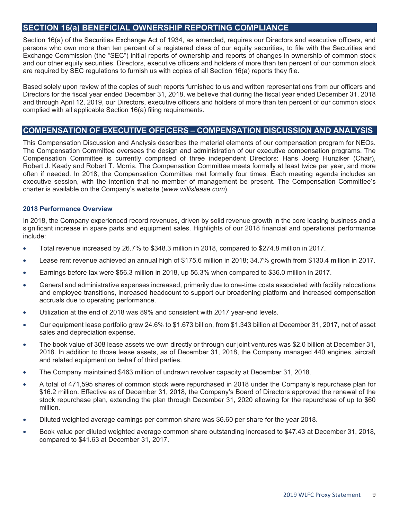# **SECTION 16(a) BENEFICIAL OWNERSHIP REPORTING COMPLIANCE**

Section 16(a) of the Securities Exchange Act of 1934, as amended, requires our Directors and executive officers, and persons who own more than ten percent of a registered class of our equity securities, to file with the Securities and Exchange Commission (the "SEC") initial reports of ownership and reports of changes in ownership of common stock and our other equity securities. Directors, executive officers and holders of more than ten percent of our common stock are required by SEC regulations to furnish us with copies of all Section 16(a) reports they file.

Based solely upon review of the copies of such reports furnished to us and written representations from our officers and Directors for the fiscal year ended December 31, 2018, we believe that during the fiscal year ended December 31, 2018 and through April 12, 2019, our Directors, executive officers and holders of more than ten percent of our common stock complied with all applicable Section 16(a) filing requirements.

# **COMPENSATION OF EXECUTIVE OFFICERS – COMPENSATION DISCUSSION AND ANALYSIS**

This Compensation Discussion and Analysis describes the material elements of our compensation program for NEOs. The Compensation Committee oversees the design and administration of our executive compensation programs. The Compensation Committee is currently comprised of three independent Directors: Hans Joerg Hunziker (Chair), Robert J. Keady and Robert T. Morris. The Compensation Committee meets formally at least twice per year, and more often if needed. In 2018, the Compensation Committee met formally four times. Each meeting agenda includes an executive session, with the intention that no member of management be present. The Compensation Committee's charter is available on the Company's website (*www.willislease.com*).

#### **2018 Performance Overview**

In 2018, the Company experienced record revenues, driven by solid revenue growth in the core leasing business and a significant increase in spare parts and equipment sales. Highlights of our 2018 financial and operational performance include:

- Total revenue increased by 26.7% to \$348.3 million in 2018, compared to \$274.8 million in 2017.
- Lease rent revenue achieved an annual high of \$175.6 million in 2018; 34.7% growth from \$130.4 million in 2017.
- Earnings before tax were \$56.3 million in 2018, up 56.3% when compared to \$36.0 million in 2017.
- General and administrative expenses increased, primarily due to one-time costs associated with facility relocations and employee transitions, increased headcount to support our broadening platform and increased compensation accruals due to operating performance.
- Utilization at the end of 2018 was 89% and consistent with 2017 year-end levels.
- Our equipment lease portfolio grew 24.6% to \$1.673 billion, from \$1.343 billion at December 31, 2017, net of asset sales and depreciation expense.
- The book value of 308 lease assets we own directly or through our joint ventures was \$2.0 billion at December 31, 2018. In addition to those lease assets, as of December 31, 2018, the Company managed 440 engines, aircraft and related equipment on behalf of third parties.
- The Company maintained \$463 million of undrawn revolver capacity at December 31, 2018.
- A total of 471,595 shares of common stock were repurchased in 2018 under the Company's repurchase plan for \$16.2 million. Effective as of December 31, 2018, the Company's Board of Directors approved the renewal of the stock repurchase plan, extending the plan through December 31, 2020 allowing for the repurchase of up to \$60 million.
- Diluted weighted average earnings per common share was \$6.60 per share for the year 2018.
- Book value per diluted weighted average common share outstanding increased to \$47.43 at December 31, 2018, compared to \$41.63 at December 31, 2017.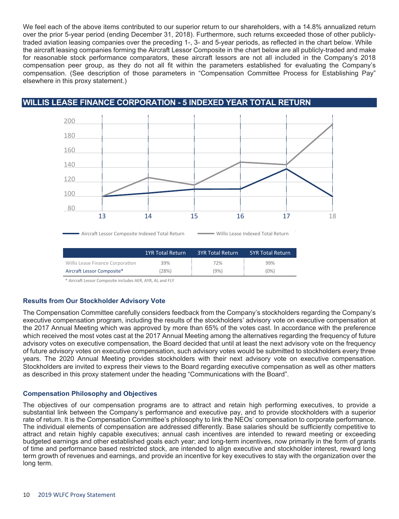We feel each of the above items contributed to our superior return to our shareholders, with a 14.8% annualized return over the prior 5-year period (ending December 31, 2018). Furthermore, such returns exceeded those of other publiclytraded aviation leasing companies over the preceding 1-, 3- and 5-year periods, as reflected in the chart below. While the aircraft leasing companies forming the Aircraft Lessor Composite in the chart below are all publicly-traded and make for reasonable stock performance comparators, these aircraft lessors are not all included in the Company's 2018 compensation peer group, as they do not all fit within the parameters established for evaluating the Company's compensation. (See description of those parameters in "Compensation Committee Process for Establishing Pay" elsewhere in this proxy statement.)

# **WILLIS LEASE FINANCE CORPORATION - 5 INDEXED YEAR TOTAL RETURN**



\* Aircraft Lessor Composite includes AER, AYR, AL and FLY

#### **Results from Our Stockholder Advisory Vote**

The Compensation Committee carefully considers feedback from the Company's stockholders regarding the Company's executive compensation program, including the results of the stockholders' advisory vote on executive compensation at the 2017 Annual Meeting which was approved by more than 65% of the votes cast. In accordance with the preference which received the most votes cast at the 2017 Annual Meeting among the alternatives regarding the frequency of future advisory votes on executive compensation, the Board decided that until at least the next advisory vote on the frequency of future advisory votes on executive compensation, such advisory votes would be submitted to stockholders every three years. The 2020 Annual Meeting provides stockholders with their next advisory vote on executive compensation. Stockholders are invited to express their views to the Board regarding executive compensation as well as other matters as described in this proxy statement under the heading "Communications with the Board".

#### **Compensation Philosophy and Objectives**

The objectives of our compensation programs are to attract and retain high performing executives, to provide a substantial link between the Company's performance and executive pay, and to provide stockholders with a superior rate of return. It is the Compensation Committee's philosophy to link the NEOs' compensation to corporate performance. The individual elements of compensation are addressed differently. Base salaries should be sufficiently competitive to attract and retain highly capable executives; annual cash incentives are intended to reward meeting or exceeding budgeted earnings and other established goals each year; and long-term incentives, now primarily in the form of grants of time and performance based restricted stock, are intended to align executive and stockholder interest, reward long term growth of revenues and earnings, and provide an incentive for key executives to stay with the organization over the long term.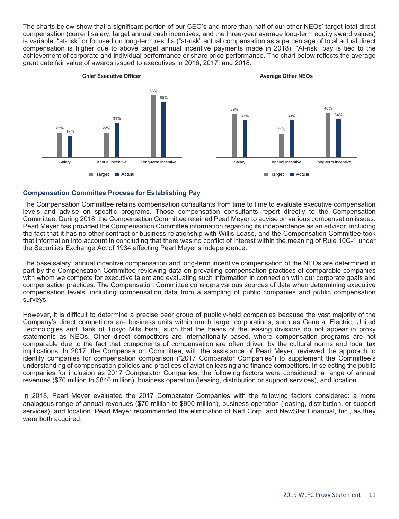The charts below show that a significant portion of our CEO's and more than half of our other NEOs' target total direct compensation (current salary, target annual cash incentives, and the three-year average long-term equity award values) is variable, "at-risk" or focused on long-term results ("at-risk" actual compensation as a percentage of total actual direct compensation is higher due to above target annual incentive payments made in 2018). "At-risk" pay is tied to the achievement of corporate and individual performance or share price performance. The chart below reflects the average grant date fair value of awards issued to executives in 2016, 2017, and 2018.



#### **Compensation Committee Process for Establishing Pay**

The Compensation Committee retains compensation consultants from time to time to evaluate executive compensation levels and advise on specific programs. Those compensation consultants report directly to the Compensation Committee. During 2018, the Compensation Committee retained Pearl Meyer to advise on various compensation issues. Pearl Meyer has provided the Compensation Committee information regarding its independence as an advisor, including the fact that it has no other contract or business relationship with Willis Lease, and the Compensation Committee took that information into account in concluding that there was no conflict of interest within the meaning of Rule 10C-1 under the Securities Exchange Act of 1934 affecting Pearl Meyer's independence.

The base salary, annual incentive compensation and long-term incentive compensation of the NEOs are determined in part by the Compensation Committee reviewing data on prevailing compensation practices of comparable companies with whom we compete for executive talent and evaluating such information in connection with our corporate goals and compensation practices. The Compensation Committee considers various sources of data when determining executive compensation levels, including compensation data from a sampling of public companies and public compensation surveys.

However, it is difficult to determine a precise peer group of publicly-held companies because the vast majority of the Company's direct competitors are business units within much larger corporations, such as General Electric, United Technologies and Bank of Tokyo Mitsubishi, such that the heads of the leasing divisions do not appear in proxy statements as NEOs. Other direct competitors are internationally based, where compensation programs are not comparable due to the fact that components of compensation are often driven by the cultural norms and local tax implications. In 2017, the Compensation Committee, with the assistance of Pearl Meyer, reviewed the approach to identify companies for compensation comparison ("2017 Comparator Companies") to supplement the Committee's understanding of compensation policies and practices of aviation leasing and finance competitors. In selecting the public companies for inclusion as 2017 Comparator Companies, the following factors were considered: a range of annual revenues (\$70 million to \$840 million), business operation (leasing, distribution or support services), and location.

In 2018, Pearl Meyer evaluated the 2017 Comparator Companies with the following factors considered: a more analogous range of annual revenues (\$70 million to \$900 million), business operation (leasing, distribution, or support services), and location. Pearl Meyer recommended the elimination of Neff Corp. and NewStar Financial, Inc., as they were both acquired.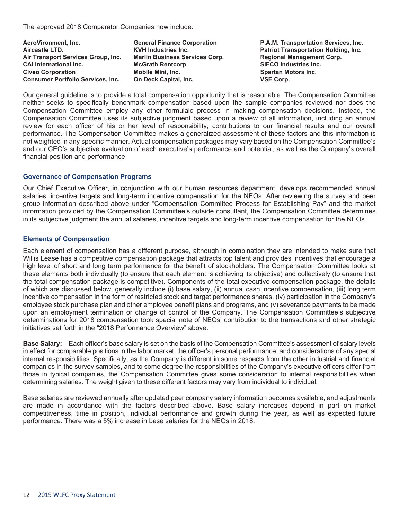The approved 2018 Comparator Companies now include:

| P.A.M. Tra         |
|--------------------|
| <b>Patriot Tra</b> |
| <b>Regional</b> M  |
| <b>SIFCO Ind</b>   |
| <b>Spartan M</b>   |
| <b>VSE Corp.</b>   |
|                    |

Aeroportation F.A.M. Transportation Services, Inc. **Patriot Transportation Holding, Inc. Air Transport Services Services Services Services Services Services Services Services Services Services Services Services Services Services Services Services Services Services Services Services Services Services Services SIFCO Industries Inc. Spartan Motors Inc.** 

Our general guideline is to provide a total compensation opportunity that is reasonable. The Compensation Committee neither seeks to specifically benchmark compensation based upon the sample companies reviewed nor does the Compensation Committee employ any other formulaic process in making compensation decisions. Instead, the Compensation Committee uses its subjective judgment based upon a review of all information, including an annual review for each officer of his or her level of responsibility, contributions to our financial results and our overall performance. The Compensation Committee makes a generalized assessment of these factors and this information is not weighted in any specific manner. Actual compensation packages may vary based on the Compensation Committee's and our CEO's subjective evaluation of each executive's performance and potential, as well as the Company's overall financial position and performance.

#### **Governance of Compensation Programs**

Our Chief Executive Officer, in conjunction with our human resources department, develops recommended annual salaries, incentive targets and long-term incentive compensation for the NEOs. After reviewing the survey and peer group information described above under "Compensation Committee Process for Establishing Pay" and the market information provided by the Compensation Committee's outside consultant, the Compensation Committee determines in its subjective judgment the annual salaries, incentive targets and long-term incentive compensation for the NEOs.

#### **Elements of Compensation**

Each element of compensation has a different purpose, although in combination they are intended to make sure that Willis Lease has a competitive compensation package that attracts top talent and provides incentives that encourage a high level of short and long term performance for the benefit of stockholders. The Compensation Committee looks at these elements both individually (to ensure that each element is achieving its objective) and collectively (to ensure that the total compensation package is competitive). Components of the total executive compensation package, the details of which are discussed below, generally include (i) base salary, (ii) annual cash incentive compensation, (iii) long term incentive compensation in the form of restricted stock and target performance shares, (iv) participation in the Company's employee stock purchase plan and other employee benefit plans and programs, and (v) severance payments to be made upon an employment termination or change of control of the Company. The Compensation Committee's subjective determinations for 2018 compensation took special note of NEOs' contribution to the transactions and other strategic initiatives set forth in the "2018 Performance Overview" above.

**Base Salary:** Each officer's base salary is set on the basis of the Compensation Committee's assessment of salary levels in effect for comparable positions in the labor market, the officer's personal performance, and considerations of any special internal responsibilities. Specifically, as the Company is different in some respects from the other industrial and financial companies in the survey samples, and to some degree the responsibilities of the Company's executive officers differ from those in typical companies, the Compensation Committee gives some consideration to internal responsibilities when determining salaries. The weight given to these different factors may vary from individual to individual.

Base salaries are reviewed annually after updated peer company salary information becomes available, and adjustments are made in accordance with the factors described above. Base salary increases depend in part on market competitiveness, time in position, individual performance and growth during the year, as well as expected future performance. There was a 5% increase in base salaries for the NEOs in 2018.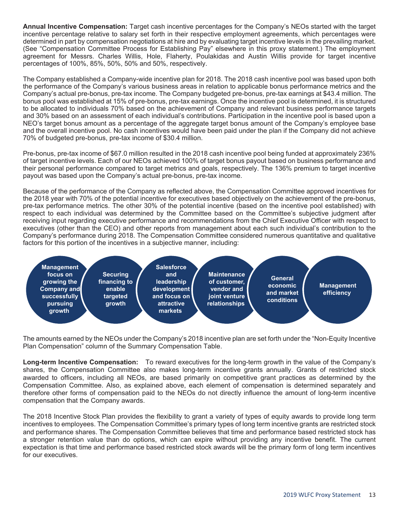**Annual Incentive Compensation:** Target cash incentive percentages for the Company's NEOs started with the target incentive percentage relative to salary set forth in their respective employment agreements, which percentages were determined in part by compensation negotiations at hire and by evaluating target incentive levels in the prevailing market. (See "Compensation Committee Process for Establishing Pay" elsewhere in this proxy statement.) The employment agreement for Messrs. Charles Willis, Hole, Flaherty, Poulakidas and Austin Willis provide for target incentive percentages of 100%, 85%, 50%, 50% and 50%, respectively.

The Company established a Company-wide incentive plan for 2018. The 2018 cash incentive pool was based upon both the performance of the Company's various business areas in relation to applicable bonus performance metrics and the Company's actual pre-bonus, pre-tax income. The Company budgeted pre-bonus, pre-tax earnings at \$43.4 million. The bonus pool was established at 15% of pre-bonus, pre-tax earnings. Once the incentive pool is determined, it is structured to be allocated to individuals 70% based on the achievement of Company and relevant business performance targets and 30% based on an assessment of each individual's contributions. Participation in the incentive pool is based upon a NEO's target bonus amount as a percentage of the aggregate target bonus amount of the Company's employee base and the overall incentive pool. No cash incentives would have been paid under the plan if the Company did not achieve 70% of budgeted pre-bonus, pre-tax income of \$30.4 million.

Pre-bonus, pre-tax income of \$67.0 million resulted in the 2018 cash incentive pool being funded at approximately 236% of target incentive levels. Each of our NEOs achieved 100% of target bonus payout based on business performance and their personal performance compared to target metrics and goals, respectively. The 136% premium to target incentive payout was based upon the Company's actual pre-bonus, pre-tax income.

Because of the performance of the Company as reflected above, the Compensation Committee approved incentives for the 2018 year with 70% of the potential incentive for executives based objectively on the achievement of the pre-bonus, pre-tax performance metrics. The other 30% of the potential incentive (based on the incentive pool established) with respect to each individual was determined by the Committee based on the Committee's subjective judgment after receiving input regarding executive performance and recommendations from the Chief Executive Officer with respect to executives (other than the CEO) and other reports from management about each such individual's contribution to the Company's performance during 2018. The Compensation Committee considered numerous quantitative and qualitative factors for this portion of the incentives in a subjective manner, including:



The amounts earned by the NEOs under the Company's 2018 incentive plan are set forth under the "Non-Equity Incentive Plan Compensation" column of the Summary Compensation Table.

**Long-term Incentive Compensation:** To reward executives for the long-term growth in the value of the Company's shares, the Compensation Committee also makes long-term incentive grants annually. Grants of restricted stock awarded to officers, including all NEOs, are based primarily on competitive grant practices as determined by the Compensation Committee. Also, as explained above, each element of compensation is determined separately and therefore other forms of compensation paid to the NEOs do not directly influence the amount of long-term incentive compensation that the Company awards.

The 2018 Incentive Stock Plan provides the flexibility to grant a variety of types of equity awards to provide long term incentives to employees. The Compensation Committee's primary types of long term incentive grants are restricted stock and performance shares. The Compensation Committee believes that time and performance based restricted stock has a stronger retention value than do options, which can expire without providing any incentive benefit. The current expectation is that time and performance based restricted stock awards will be the primary form of long term incentives for our executives.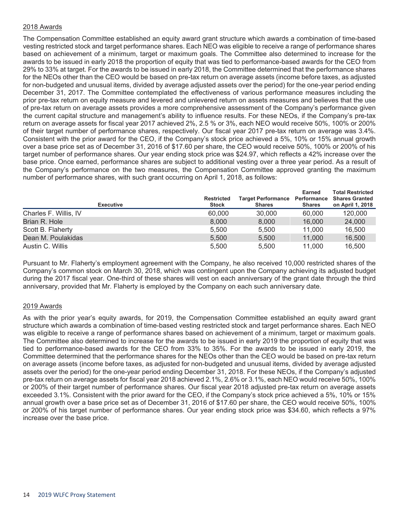#### 2018 Awards

The Compensation Committee established an equity award grant structure which awards a combination of time-based vesting restricted stock and target performance shares. Each NEO was eligible to receive a range of performance shares based on achievement of a minimum, target or maximum goals. The Committee also determined to increase for the awards to be issued in early 2018 the proportion of equity that was tied to performance-based awards for the CEO from 29% to 33% at target. For the awards to be issued in early 2018, the Committee determined that the performance shares for the NEOs other than the CEO would be based on pre-tax return on average assets (income before taxes, as adjusted for non-budgeted and unusual items, divided by average adjusted assets over the period) for the one-year period ending December 31, 2017. The Committee contemplated the effectiveness of various performance measures including the prior pre-tax return on equity measure and levered and unlevered return on assets measures and believes that the use of pre-tax return on average assets provides a more comprehensive assessment of the Company's performance given the current capital structure and management's ability to influence results. For these NEOs, if the Company's pre-tax return on average assets for fiscal year 2017 achieved 2%, 2.5 % or 3%, each NEO would receive 50%, 100% or 200% of their target number of performance shares, respectively. Our fiscal year 2017 pre-tax return on average was 3.4%. Consistent with the prior award for the CEO, if the Company's stock price achieved a 5%, 10% or 15% annual growth over a base price set as of December 31, 2016 of \$17.60 per share, the CEO would receive 50%, 100% or 200% of his target number of performance shares. Our year ending stock price was \$24.97, which reflects a 42% increase over the base price. Once earned, performance shares are subject to additional vesting over a three year period. As a result of the Company's performance on the two measures, the Compensation Committee approved granting the maximum number of performance shares, with such grant occurring on April 1, 2018, as follows:

| <b>Executive</b>      | <b>Restricted</b><br><b>Stock</b> | <b>Target Performance</b><br><b>Shares</b> | <b>Earned</b><br>Performance<br><b>Shares</b> | <b>Total Restricted</b><br><b>Shares Granted</b><br>on April 1, 2018 |
|-----------------------|-----------------------------------|--------------------------------------------|-----------------------------------------------|----------------------------------------------------------------------|
| Charles F. Willis, IV | 60,000                            | 30,000                                     | 60,000                                        | 120,000                                                              |
| Brian R. Hole         | 8.000                             | 8.000                                      | 16,000                                        | 24,000                                                               |
| Scott B. Flaherty     | 5.500                             | 5.500                                      | 11.000                                        | 16.500                                                               |
| Dean M. Poulakidas    | 5.500                             | 5.500                                      | 11,000                                        | 16,500                                                               |
| Austin C. Willis      | 5.500                             | 5.500                                      | 11.000                                        | 16.500                                                               |

Pursuant to Mr. Flaherty's employment agreement with the Company, he also received 10,000 restricted shares of the Company's common stock on March 30, 2018, which was contingent upon the Company achieving its adjusted budget during the 2017 fiscal year. One-third of these shares will vest on each anniversary of the grant date through the third anniversary, provided that Mr. Flaherty is employed by the Company on each such anniversary date.

#### 2019 Awards

As with the prior year's equity awards, for 2019, the Compensation Committee established an equity award grant structure which awards a combination of time-based vesting restricted stock and target performance shares. Each NEO was eligible to receive a range of performance shares based on achievement of a minimum, target or maximum goals. The Committee also determined to increase for the awards to be issued in early 2019 the proportion of equity that was tied to performance-based awards for the CEO from 33% to 35%. For the awards to be issued in early 2019, the Committee determined that the performance shares for the NEOs other than the CEO would be based on pre-tax return on average assets (income before taxes, as adjusted for non-budgeted and unusual items, divided by average adjusted assets over the period) for the one-year period ending December 31, 2018. For these NEOs, if the Company's adjusted pre-tax return on average assets for fiscal year 2018 achieved 2.1%, 2.6% or 3.1%, each NEO would receive 50%, 100% or 200% of their target number of performance shares. Our fiscal year 2018 adjusted pre-tax return on average assets exceeded 3.1%. Consistent with the prior award for the CEO, if the Company's stock price achieved a 5%, 10% or 15% annual growth over a base price set as of December 31, 2016 of \$17.60 per share, the CEO would receive 50%, 100% or 200% of his target number of performance shares. Our year ending stock price was \$34.60, which reflects a 97% increase over the base price.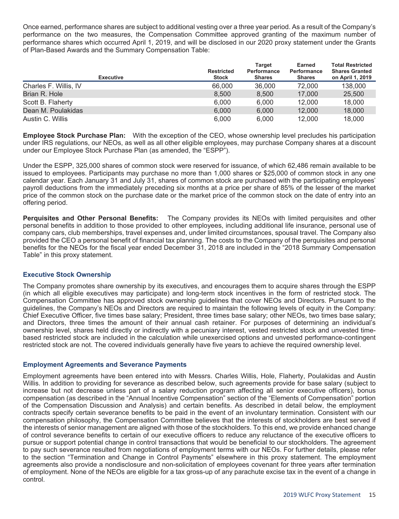Once earned, performance shares are subject to additional vesting over a three year period. As a result of the Company's performance on the two measures, the Compensation Committee approved granting of the maximum number of performance shares which occurred April 1, 2019, and will be disclosed in our 2020 proxy statement under the Grants of Plan-Based Awards and the Summary Compensation Table:

| <b>Executive</b>      | <b>Restricted</b><br><b>Stock</b> | <b>Target</b><br>Performance<br><b>Shares</b> | Earned<br>Performance<br><b>Shares</b> | <b>Total Restricted</b><br><b>Shares Granted</b><br>on April 1, 2019 |
|-----------------------|-----------------------------------|-----------------------------------------------|----------------------------------------|----------------------------------------------------------------------|
| Charles F. Willis, IV | 66,000                            | 36,000                                        | 72,000                                 | 138,000                                                              |
| Brian R. Hole         | 8.500                             | 8.500                                         | 17,000                                 | 25,500                                                               |
| Scott B. Flaherty     | 6.000                             | 6.000                                         | 12.000                                 | 18,000                                                               |
| Dean M. Poulakidas    | 6,000                             | 6,000                                         | 12,000                                 | 18,000                                                               |
| Austin C. Willis      | 6.000                             | 6,000                                         | 12.000                                 | 18,000                                                               |

**Employee Stock Purchase Plan:** With the exception of the CEO, whose ownership level precludes his participation under IRS regulations, our NEOs, as well as all other eligible employees, may purchase Company shares at a discount under our Employee Stock Purchase Plan (as amended, the "ESPP").

Under the ESPP, 325,000 shares of common stock were reserved for issuance, of which 62,486 remain available to be issued to employees. Participants may purchase no more than 1,000 shares or \$25,000 of common stock in any one calendar year. Each January 31 and July 31, shares of common stock are purchased with the participating employees' payroll deductions from the immediately preceding six months at a price per share of 85% of the lesser of the market price of the common stock on the purchase date or the market price of the common stock on the date of entry into an offering period.

**Perquisites and Other Personal Benefits:** The Company provides its NEOs with limited perquisites and other personal benefits in addition to those provided to other employees, including additional life insurance, personal use of company cars, club memberships, travel expenses and, under limited circumstances, spousal travel. The Company also provided the CEO a personal benefit of financial tax planning. The costs to the Company of the perquisites and personal benefits for the NEOs for the fiscal year ended December 31, 2018 are included in the "2018 Summary Compensation Table" in this proxy statement.

#### **Executive Stock Ownership**

The Company promotes share ownership by its executives, and encourages them to acquire shares through the ESPP (in which all eligible executives may participate) and long-term stock incentives in the form of restricted stock. The Compensation Committee has approved stock ownership guidelines that cover NEOs and Directors. Pursuant to the guidelines, the Company's NEOs and Directors are required to maintain the following levels of equity in the Company: Chief Executive Officer, five times base salary; President, three times base salary; other NEOs, two times base salary; and Directors, three times the amount of their annual cash retainer. For purposes of determining an individual's ownership level, shares held directly or indirectly with a pecuniary interest, vested restricted stock and unvested timebased restricted stock are included in the calculation while unexercised options and unvested performance-contingent restricted stock are not. The covered individuals generally have five years to achieve the required ownership level.

#### **Employment Agreements and Severance Payments**

Employment agreements have been entered into with Messrs. Charles Willis, Hole, Flaherty, Poulakidas and Austin Willis. In addition to providing for severance as described below, such agreements provide for base salary (subject to increase but not decrease unless part of a salary reduction program affecting all senior executive officers), bonus compensation (as described in the "Annual Incentive Compensation" section of the "Elements of Compensation" portion of the Compensation Discussion and Analysis) and certain benefits. As described in detail below, the employment contracts specify certain severance benefits to be paid in the event of an involuntary termination. Consistent with our compensation philosophy, the Compensation Committee believes that the interests of stockholders are best served if the interests of senior management are aligned with those of the stockholders. To this end, we provide enhanced change of control severance benefits to certain of our executive officers to reduce any reluctance of the executive officers to pursue or support potential change in control transactions that would be beneficial to our stockholders. The agreement to pay such severance resulted from negotiations of employment terms with our NEOs. For further details, please refer to the section "Termination and Change in Control Payments" elsewhere in this proxy statement. The employment agreements also provide a nondisclosure and non-solicitation of employees covenant for three years after termination of employment. None of the NEOs are eligible for a tax gross-up of any parachute excise tax in the event of a change in control.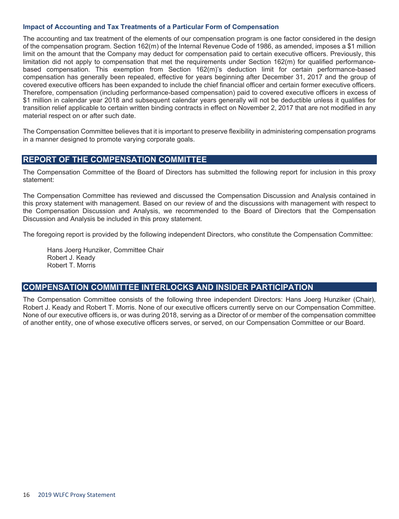#### **Impact of Accounting and Tax Treatments of a Particular Form of Compensation**

The accounting and tax treatment of the elements of our compensation program is one factor considered in the design of the compensation program. Section 162(m) of the Internal Revenue Code of 1986, as amended, imposes a \$1 million limit on the amount that the Company may deduct for compensation paid to certain executive officers. Previously, this limitation did not apply to compensation that met the requirements under Section 162(m) for qualified performancebased compensation. This exemption from Section 162(m)'s deduction limit for certain performance-based compensation has generally been repealed, effective for years beginning after December 31, 2017 and the group of covered executive officers has been expanded to include the chief financial officer and certain former executive officers. Therefore, compensation (including performance-based compensation) paid to covered executive officers in excess of \$1 million in calendar year 2018 and subsequent calendar years generally will not be deductible unless it qualifies for transition relief applicable to certain written binding contracts in effect on November 2, 2017 that are not modified in any material respect on or after such date.

The Compensation Committee believes that it is important to preserve flexibility in administering compensation programs in a manner designed to promote varying corporate goals.

# **REPORT OF THE COMPENSATION COMMITTEE**

The Compensation Committee of the Board of Directors has submitted the following report for inclusion in this proxy statement:

The Compensation Committee has reviewed and discussed the Compensation Discussion and Analysis contained in this proxy statement with management. Based on our review of and the discussions with management with respect to the Compensation Discussion and Analysis, we recommended to the Board of Directors that the Compensation Discussion and Analysis be included in this proxy statement.

The foregoing report is provided by the following independent Directors, who constitute the Compensation Committee:

Hans Joerg Hunziker, Committee Chair Robert J. Keady Robert T. Morris

## **COMPENSATION COMMITTEE INTERLOCKS AND INSIDER PARTICIPATION**

The Compensation Committee consists of the following three independent Directors: Hans Joerg Hunziker (Chair), Robert J. Keady and Robert T. Morris. None of our executive officers currently serve on our Compensation Committee. None of our executive officers is, or was during 2018, serving as a Director of or member of the compensation committee of another entity, one of whose executive officers serves, or served, on our Compensation Committee or our Board.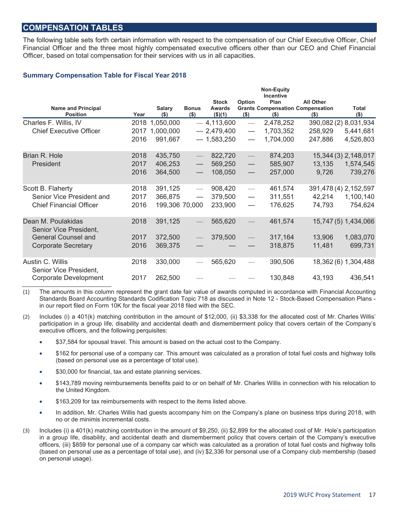# **COMPENSATION TABLES**

The following table sets forth certain information with respect to the compensation of our Chief Executive Officer, Chief Financial Officer and the three most highly compensated executive officers other than our CEO and Chief Financial Officer, based on total compensation for their services with us in all capacities.

#### **Summary Compensation Table for Fiscal Year 2018**

|                                              |      |                |                          |               |                                  | <b>Non-Equity</b><br><b>Incentive</b> |                                         |                      |
|----------------------------------------------|------|----------------|--------------------------|---------------|----------------------------------|---------------------------------------|-----------------------------------------|----------------------|
|                                              |      |                |                          | <b>Stock</b>  | Option                           | Plan                                  | <b>All Other</b>                        |                      |
| <b>Name and Principal</b>                    |      | <b>Salary</b>  | <b>Bonus</b>             | <b>Awards</b> |                                  |                                       | <b>Grants Compensation Compensation</b> | Total                |
| <b>Position</b>                              | Year | $($ \$)        | $($ \$)                  | $($ \$)(1)    | $($ \$)                          | $($ \$)                               | $($ \$)                                 | $($ \$)              |
| Charles F. Willis, IV                        | 2018 | 1,050,000      |                          | $-4,113,600$  |                                  | 2,478,252                             | 390,082 (2) 8,031,934                   |                      |
| <b>Chief Executive Officer</b>               | 2017 | 1,000,000      |                          | $-2,479,400$  | $\hspace{0.05cm}$                | 1,703,352                             | 258,929                                 | 5,441,681            |
|                                              | 2016 | 991,667        |                          | $-1,583,250$  | $\overline{\phantom{0}}$         | 1,704,000                             | 247,886                                 | 4,526,803            |
| Brian R. Hole                                | 2018 | 435,750        | $\overline{\phantom{m}}$ | 822,720       | $\overline{\phantom{0}}$         | 874,203                               |                                         | 15,344 (3) 2,148,017 |
| President                                    | 2017 | 406,253        |                          | 569,250       | $\overline{\phantom{m}}$         | 585,907                               | 13,135                                  | 1,574,545            |
|                                              | 2016 | 364,500        |                          | 108,050       |                                  | 257,000                               | 9,726                                   | 739,276              |
| Scott B. Flaherty                            | 2018 | 391,125        |                          | 908,420       | $\overbrace{\phantom{12322111}}$ | 461,574                               | 391,478 (4) 2,152,597                   |                      |
| Senior Vice President and                    | 2017 | 366,875        |                          | 379,500       |                                  | 311,551                               | 42,214                                  | 1,100,140            |
| <b>Chief Financial Officer</b>               | 2016 | 199,306 70,000 |                          | 233,900       | $\hspace{0.05cm}$                | 176,625                               | 74,793                                  | 754,624              |
| Dean M. Poulakidas<br>Senior Vice President, | 2018 | 391,125        |                          | 565,620       |                                  | 461,574                               |                                         | 15,747 (5) 1,434,066 |
| <b>General Counsel and</b>                   | 2017 | 372,500        |                          | 379,500       |                                  | 317,164                               | 13,906                                  | 1,083,070            |
| <b>Corporate Secretary</b>                   | 2016 | 369,375        |                          |               |                                  | 318,875                               | 11,481                                  | 699,731              |
| Austin C. Willis<br>Senior Vice President,   | 2018 | 330,000        |                          | 565,620       |                                  | 390,506                               |                                         | 18,362 (6) 1,304,488 |
| Corporate Development                        | 2017 | 262,500        |                          |               |                                  | 130,848                               | 43,193                                  | 436,541              |

(1) The amounts in this column represent the grant date fair value of awards computed in accordance with Financial Accounting Standards Board Accounting Standards Codification Topic 718 as discussed in Note 12 - Stock-Based Compensation Plans in our report filed on Form 10K for the fiscal year 2018 filed with the SEC.

- (2) Includes (i) a 401(k) matching contribution in the amount of \$12,000, (ii) \$3,338 for the allocated cost of Mr. Charles Willis' participation in a group life, disability and accidental death and dismemberment policy that covers certain of the Company's executive officers, and the following perquisites:
	- \$37,584 for spousal travel. This amount is based on the actual cost to the Company.
	- \$162 for personal use of a company car. This amount was calculated as a proration of total fuel costs and highway tolls (based on personal use as a percentage of total use).
	- \$30,000 for financial, tax and estate planning services.
	- \$143,789 moving reimbursements benefits paid to or on behalf of Mr. Charles Willis in connection with his relocation to the United Kingdom.
	- \$163,209 for tax reimbursements with respect to the items listed above.
	- In addition, Mr. Charles Willis had guests accompany him on the Company's plane on business trips during 2018, with no or de minimis incremental costs.
- (3) Includes (i) a 401(k) matching contribution in the amount of \$9,250, (ii) \$2,899 for the allocated cost of Mr. Hole's participation in a group life, disability, and accidental death and dismemberment policy that covers certain of the Company's executive officers, (iii) \$859 for personal use of a company car which was calculated as a proration of total fuel costs and highway tolls (based on personal use as a percentage of total use), and (iv) \$2,336 for personal use of a Company club membership (based on personal usage).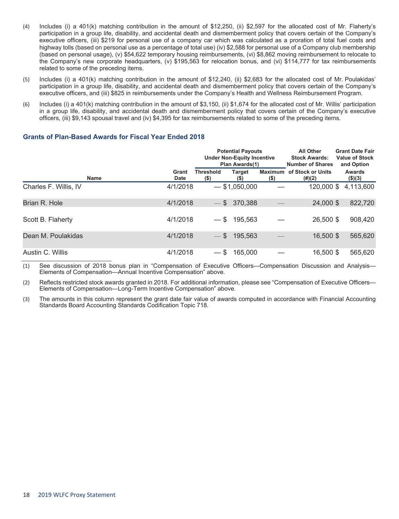- (4) Includes (i) a 401(k) matching contribution in the amount of \$12,250, (ii) \$2,597 for the allocated cost of Mr. Flaherty's participation in a group life, disability, and accidental death and dismemberment policy that covers certain of the Company's executive officers, (iii) \$219 for personal use of a company car which was calculated as a proration of total fuel costs and highway tolls (based on personal use as a percentage of total use) (iv) \$2,588 for personal use of a Company club membership (based on personal usage), (v) \$54,622 temporary housing reimbursements, (vi) \$8,862 moving reimbursement to relocate to the Company's new corporate headquarters, (v) \$195,563 for relocation bonus, and (vi) \$114,777 for tax reimbursements related to some of the preceding items.
- (5) Includes (i) a 401(k) matching contribution in the amount of \$12,240, (ii) \$2,683 for the allocated cost of Mr. Poulakidas' participation in a group life, disability, and accidental death and dismemberment policy that covers certain of the Company's executive officers, and (iii) \$825 in reimbursements under the Company's Health and Wellness Reimbursement Program.
- (6) Includes (i) a 401(k) matching contribution in the amount of \$3,150, (ii) \$1,674 for the allocated cost of Mr. Willis' participation in a group life, disability, and accidental death and dismemberment policy that covers certain of the Company's executive officers, (iii) \$9,143 spousal travel and (iv) \$4,395 for tax reimbursements related to some of the preceding items.

#### **Grants of Plan-Based Awards for Fiscal Year Ended 2018**

|                       |                      | <b>Potential Payouts</b><br><b>Under Non-Equity Incentive</b><br>Plan Awards(1) |                  |                    | <b>All Other</b><br><b>Stock Awards:</b><br><b>Number of Shares</b> | <b>Grant Date Fair</b><br><b>Value of Stock</b><br>and Option |  |
|-----------------------|----------------------|---------------------------------------------------------------------------------|------------------|--------------------|---------------------------------------------------------------------|---------------------------------------------------------------|--|
| <b>Name</b>           | Grant<br><b>Date</b> | <b>Threshold</b><br>$($ \$                                                      | Target<br>$($ \$ | Maximum<br>$($ \$) | of Stock or Units<br>$(\#)(2)$                                      | <b>Awards</b><br>(\$)(3)                                      |  |
| Charles F. Willis, IV | 4/1/2018             |                                                                                 | $-$ \$1,050,000  |                    | 120,000 \$                                                          | 4,113,600                                                     |  |
| Brian R. Hole         | 4/1/2018             |                                                                                 | $-$ \$ 370,388   |                    | 24,000 \$                                                           | 822,720                                                       |  |
| Scott B. Flaherty     | 4/1/2018             | $-$ \$                                                                          | 195,563          |                    | 26,500 \$                                                           | 908,420                                                       |  |
| Dean M. Poulakidas    | 4/1/2018             | $-$ \$                                                                          | 195.563          |                    | 16,500 \$                                                           | 565,620                                                       |  |
| Austin C. Willis      | 4/1/2018             | $-$ \$                                                                          | 165,000          |                    | 16,500 \$                                                           | 565,620                                                       |  |

(1) See discussion of 2018 bonus plan in "Compensation of Executive Officers—Compensation Discussion and Analysis— Elements of Compensation—Annual Incentive Compensation" above.

(2) Reflects restricted stock awards granted in 2018. For additional information, please see "Compensation of Executive Officers— Elements of Compensation—Long-Term Incentive Compensation" above.

(3) The amounts in this column represent the grant date fair value of awards computed in accordance with Financial Accounting Standards Board Accounting Standards Codification Topic 718.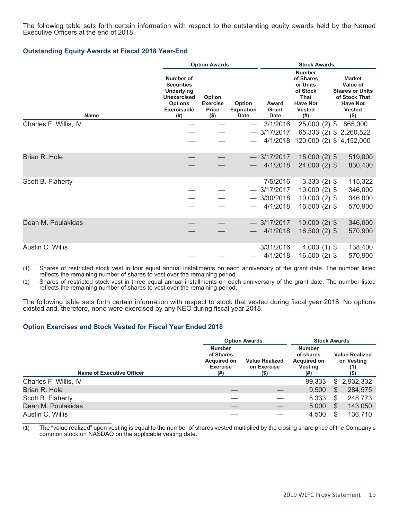The following table sets forth certain information with respect to the outstanding equity awards held by the Named Executive Officers at the end of 2018.

#### **Outstanding Equity Awards at Fiscal 2018 Year-End**

|                       | <b>Option Awards</b>                                                                                                     |                                                      |                                            | <b>Stock Awards</b>           |                                                                                                               |                                                                                                                     |  |  |
|-----------------------|--------------------------------------------------------------------------------------------------------------------------|------------------------------------------------------|--------------------------------------------|-------------------------------|---------------------------------------------------------------------------------------------------------------|---------------------------------------------------------------------------------------------------------------------|--|--|
| <b>Name</b>           | Number of<br><b>Securities</b><br><b>Underlying</b><br><b>Unexercised</b><br><b>Options</b><br><b>Exercisable</b><br>(#) | Option<br><b>Exercise</b><br><b>Price</b><br>$($ \$) | Option<br><b>Expiration</b><br><b>Date</b> | Award<br>Grant<br><b>Date</b> | <b>Number</b><br>of Shares<br>or Units<br>of Stock<br><b>That</b><br><b>Have Not</b><br><b>Vested</b><br>(# ) | <b>Market</b><br>Value of<br><b>Shares or Units</b><br>of Stock That<br><b>Have Not</b><br><b>Vested</b><br>$($ \$) |  |  |
| Charles F. Willis, IV |                                                                                                                          |                                                      |                                            | 3/1/2016                      | $25,000(2)$ \$                                                                                                | 865,000                                                                                                             |  |  |
|                       |                                                                                                                          |                                                      |                                            | 3/17/2017                     |                                                                                                               | 65,333 (2) \$ 2,260,522                                                                                             |  |  |
|                       |                                                                                                                          |                                                      |                                            | 4/1/2018                      |                                                                                                               | 120,000 (2) \$4,152,000                                                                                             |  |  |
| Brian R. Hole         |                                                                                                                          |                                                      |                                            | $-3/17/2017$                  | $15,000(2)$ \$                                                                                                | 519,000                                                                                                             |  |  |
|                       |                                                                                                                          |                                                      |                                            | 4/1/2018                      | 24,000 (2) \$                                                                                                 | 830,400                                                                                                             |  |  |
| Scott B. Flaherty     |                                                                                                                          |                                                      |                                            | 7/5/2016                      | $3,333(2)$ \$                                                                                                 | 115,322                                                                                                             |  |  |
|                       |                                                                                                                          |                                                      |                                            | $-3/17/2017$                  | $10,000(2)$ \$                                                                                                | 346,000                                                                                                             |  |  |
|                       |                                                                                                                          |                                                      |                                            | $-3/30/2018$                  | $10,000(2)$ \$                                                                                                | 346,000                                                                                                             |  |  |
|                       |                                                                                                                          |                                                      |                                            | 4/1/2018                      | 16,500 (2) \$                                                                                                 | 570,900                                                                                                             |  |  |
| Dean M. Poulakidas    |                                                                                                                          |                                                      |                                            | $-3/17/2017$                  | $10,000(2)$ \$                                                                                                | 346,000                                                                                                             |  |  |
|                       |                                                                                                                          |                                                      |                                            | 4/1/2018                      | $16,500(2)$ \$                                                                                                | 570,900                                                                                                             |  |  |
| Austin C. Willis      |                                                                                                                          |                                                      |                                            | $-3/31/2016$                  | $4,000(1)$ \$                                                                                                 | 138,400                                                                                                             |  |  |
|                       |                                                                                                                          |                                                      |                                            | 4/1/2018                      | 16,500 (2) \$                                                                                                 | 570,900                                                                                                             |  |  |

(1) Shares of restricted stock vest in four equal annual installments on each anniversary of the grant date. The number listed reflects the remaining number of shares to vest over the remaining period.

(2) Shares of restricted stock vest in three equal annual installments on each anniversary of the grant date. The number listed reflects the remaining number of shares to vest over the remaining period.

The following table sets forth certain information with respect to stock that vested during fiscal year 2018. No options existed and, therefore, none were exercised by any NEO during fiscal year 2018.

#### **Option Exercises and Stock Vested for Fiscal Year Ended 2018**

|                                  |                                                                            | <b>Option Awards</b>                        |                                                                     |    | <b>Stock Awards</b>                                   |  |  |  |
|----------------------------------|----------------------------------------------------------------------------|---------------------------------------------|---------------------------------------------------------------------|----|-------------------------------------------------------|--|--|--|
| <b>Name of Executive Officer</b> | <b>Number</b><br>of Shares<br><b>Acquired on</b><br><b>Exercise</b><br>(#) | <b>Value Realized</b><br>on Exercise<br>(5) | <b>Number</b><br>of shares<br><b>Acquired on</b><br>Vesting<br>(# ) |    | <b>Value Realized</b><br>on Vesting<br>(1)<br>$($ \$) |  |  |  |
| Charles F. Willis, IV            |                                                                            |                                             | 99,333                                                              | \$ | 2,932,332                                             |  |  |  |
| Brian R. Hole                    |                                                                            |                                             | 9,500                                                               | \$ | 284,575                                               |  |  |  |
| Scott B. Flaherty                |                                                                            |                                             | 8,333                                                               | S  | 248,773                                               |  |  |  |
| Dean M. Poulakidas               |                                                                            |                                             | 5,000                                                               | S  | 143,050                                               |  |  |  |
| Austin C. Willis                 |                                                                            |                                             | 4.500                                                               |    | 136.710                                               |  |  |  |

(1) The "value realized" upon vesting is equal to the number of shares vested multiplied by the closing share price of the Company's common stock on NASDAQ on the applicable vesting date.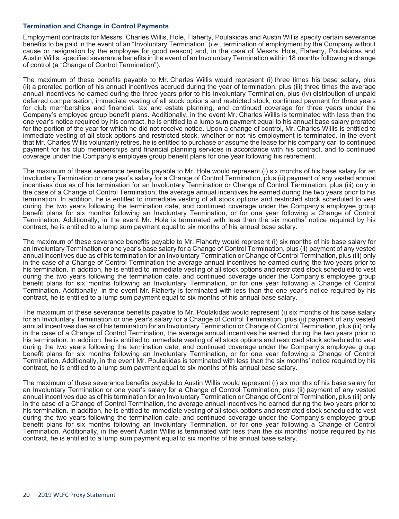#### **Termination and Change in Control Payments**

Employment contracts for Messrs. Charles Willis, Hole, Flaherty, Poulakidas and Austin Willis specify certain severance benefits to be paid in the event of an "Involuntary Termination" (*i.e.*, termination of employment by the Company without cause or resignation by the employee for good reason) and, in the case of Messrs. Hole, Flaherty, Poulakidas and Austin Willis, specified severance benefits in the event of an Involuntary Termination within 18 months following a change of control (a "Change of Control Termination").

The maximum of these benefits payable to Mr. Charles Willis would represent (i) three times his base salary, plus (ii) a prorated portion of his annual incentives accrued during the year of termination, plus (iii) three times the average annual incentives he earned during the three years prior to his Involuntary Termination, plus (iv) distribution of unpaid deferred compensation, immediate vesting of all stock options and restricted stock, continued payment for three years for club memberships and financial, tax and estate planning, and continued coverage for three years under the Company's employee group benefit plans. Additionally, in the event Mr. Charles Willis is terminated with less than the one year's notice required by his contract, he is entitled to a lump sum payment equal to his annual base salary prorated for the portion of the year for which he did not receive notice. Upon a change of control, Mr. Charles Willis is entitled to immediate vesting of all stock options and restricted stock, whether or not his employment is terminated. In the event that Mr. Charles Willis voluntarily retires, he is entitled to purchase or assume the lease for his company car, to continued payment for his club memberships and financial planning services in accordance with his contract, and to continued coverage under the Company's employee group benefit plans for one year following his retirement.

The maximum of these severance benefits payable to Mr. Hole would represent (i) six months of his base salary for an Involuntary Termination or one year's salary for a Change of Control Termination, plus (ii) payment of any vested annual incentives due as of his termination for an Involuntary Termination or Change of Control Termination, plus (iii) only in the case of a Change of Control Termination, the average annual incentives he earned during the two years prior to his termination. In addition, he is entitled to immediate vesting of all stock options and restricted stock scheduled to vest during the two years following the termination date, and continued coverage under the Company's employee group benefit plans for six months following an Involuntary Termination, or for one year following a Change of Control Termination. Additionally, in the event Mr. Hole is terminated with less than the six months' notice required by his contract, he is entitled to a lump sum payment equal to six months of his annual base salary.

The maximum of these severance benefits payable to Mr. Flaherty would represent (i) six months of his base salary for an Involuntary Termination or one year's base salary for a Change of Control Termination, plus (ii) payment of any vested annual incentives due as of his termination for an Involuntary Termination or Change of Control Termination, plus (iii) only in the case of a Change of Control Termination the average annual incentives he earned during the two years prior to his termination. In addition, he is entitled to immediate vesting of all stock options and restricted stock scheduled to vest during the two years following the termination date, and continued coverage under the Company's employee group benefit plans for six months following an Involuntary Termination, or for one year following a Change of Control Termination. Additionally, in the event Mr. Flaherty is terminated with less than the one year's notice required by his contract, he is entitled to a lump sum payment equal to six months of his annual base salary.

The maximum of these severance benefits payable to Mr. Poulakidas would represent (i) six months of his base salary for an Involuntary Termination or one year's salary for a Change of Control Termination, plus (ii) payment of any vested annual incentives due as of his termination for an Involuntary Termination or Change of Control Termination, plus (iii) only in the case of a Change of Control Termination, the average annual incentives he earned during the two years prior to his termination. In addition, he is entitled to immediate vesting of all stock options and restricted stock scheduled to vest during the two years following the termination date, and continued coverage under the Company's employee group benefit plans for six months following an Involuntary Termination, or for one year following a Change of Control Termination. Additionally, in the event Mr. Poulakidas is terminated with less than the six months' notice required by his contract, he is entitled to a lump sum payment equal to six months of his annual base salary.

The maximum of these severance benefits payable to Austin Willis would represent (i) six months of his base salary for an Involuntary Termination or one year's salary for a Change of Control Termination, plus (ii) payment of any vested annual incentives due as of his termination for an Involuntary Termination or Change of Control Termination, plus (iii) only in the case of a Change of Control Termination, the average annual incentives he earned during the two years prior to his termination. In addition, he is entitled to immediate vesting of all stock options and restricted stock scheduled to vest during the two years following the termination date, and continued coverage under the Company's employee group benefit plans for six months following an Involuntary Termination, or for one year following a Change of Control Termination. Additionally, in the event Austin Willis is terminated with less than the six months' notice required by his contract, he is entitled to a lump sum payment equal to six months of his annual base salary.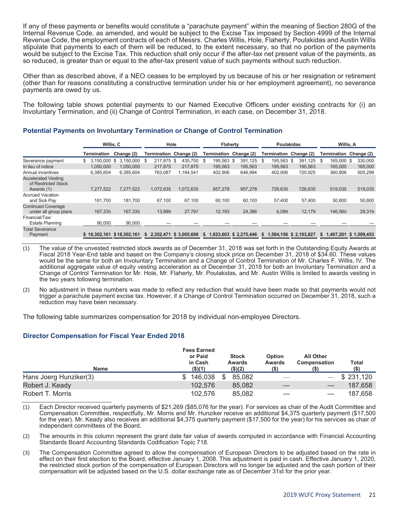If any of these payments or benefits would constitute a "parachute payment" within the meaning of Section 280G of the Internal Revenue Code, as amended, and would be subject to the Excise Tax imposed by Section 4999 of the Internal Revenue Code, the employment contracts of each of Messrs. Charles Willis, Hole, Flaherty, Poulakidas and Austin Willis stipulate that payments to each of them will be reduced, to the extent necessary, so that no portion of the payments would be subject to the Excise Tax. This reduction shall only occur if the after-tax net present value of the payments, as so reduced, is greater than or equal to the after-tax present value of such payments without such reduction.

Other than as described above, if a NEO ceases to be employed by us because of his or her resignation or retirement (other than for reasons constituting a constructive termination under his or her employment agreement), no severance payments are owed by us.

The following table shows potential payments to our Named Executive Officers under existing contracts for (i) an Involuntary Termination, and (ii) Change of Control Termination, in each case, on December 31, 2018.

|                                                                 |                    | Willis, C                 |                        | Hole                   | <b>Flaherty</b>    |                        | <b>Poulakidas</b>      |                        | Willis, A              |                        |
|-----------------------------------------------------------------|--------------------|---------------------------|------------------------|------------------------|--------------------|------------------------|------------------------|------------------------|------------------------|------------------------|
|                                                                 | Termination        | Change (2)                | Termination Change (2) |                        | Termination        | Change (2)             | Termination Change (2) |                        | Termination Change (2) |                        |
| Severance payment                                               | 3.150.000 \$<br>\$ | 3.150.000                 | 217.875 \$<br>\$.      | 435.750                | 195.563 \$<br>- \$ | 391.125 \$             | 195.563 \$             | 391.125                | 165,000 \$<br>\$.      | 330.000                |
| In lieu of notice                                               | 1.050.000          | 1.050.000                 | 217,875                | 217.875                | 195.563            | 195,563                | 195.563                | 195.563                | 165,000                | 165,000                |
| Annual incentives                                               | 6,385,604          | 6,385,604                 | 763,087                | 1,184,541              | 402,906            | 646.994                | 402,906                | 720,925                | 360,806                | 505,299                |
| <b>Accelerated Vesting</b><br>of Restricted Stock<br>Awards (1) | 7.277.522          | 7,277,522                 | 1.072.635              | 1.072.635              | 957,278            | 957.278                | 726.635                | 726,635                | 519,035                | 519,035                |
| <b>Accrued Vacation</b><br>and Sick Pay                         | 181.700            | 181.700                   | 67.100                 | 67.100                 | 60.100             | 60.100                 | 57.400                 | 57.400                 | 50,800                 | 50,800                 |
| <b>Continued Coverage</b><br>under all group plans              | 167,335            | 167,335                   | 13,899                 | 27.797                 | 12,193             | 24,386                 | 6,089                  | 12.179                 | 146,560                | 29,319                 |
| Financial/Tax/<br>Estate Planning                               | 90.000             | 90.000                    |                        |                        |                    |                        |                        |                        |                        |                        |
| <b>Total Severance</b><br>Payment                               |                    | \$18,302,161 \$18,302,161 | s.                     | 2,352,471 \$ 3,005,698 | \$                 | 1,823,603 \$ 2,275,446 | \$                     | 1,584,156 \$ 2,103,827 | \$                     | 1,407,201 \$ 1,599,453 |

#### **Potential Payments on Involuntary Termination or Change of Control Termination**

(1) The value of the unvested restricted stock awards as of December 31, 2018 was set forth in the Outstanding Equity Awards at Fiscal 2018 Year-End table and based on the Company's closing stock price on December 31, 2018 of \$34.60. These values would be the same for both an Involuntary Termination and a Change of Control Termination of Mr. Charles F. Willis, IV. The additional aggregate value of equity vesting acceleration as of December 31, 2018 for both an Involuntary Termination and a Change of Control Termination for Mr. Hole, Mr. Flaherty, Mr. Poulakidas, and Mr. Austin Willis is limited to awards vesting in the two years following termination.

(2) No adjustment in these numbers was made to reflect any reduction that would have been made so that payments would not trigger a parachute payment excise tax. However, if a Change of Control Termination occurred on December 31, 2018, such a reduction may have been necessary.

The following table summarizes compensation for 2018 by individual non-employee Directors.

#### **Director Compensation for Fiscal Year Ended 2018**

| <b>Name</b>            | <b>Fees Earned</b><br>or Paid<br>in Cash<br>$($ \$)(1) | <b>Stock</b><br><b>Awards</b><br>$($ \$)(2) | <b>Option</b><br><b>Awards</b><br>(S) | <b>All Other</b><br>Compensation | Total<br>$($ \$ |
|------------------------|--------------------------------------------------------|---------------------------------------------|---------------------------------------|----------------------------------|-----------------|
|                        |                                                        |                                             |                                       |                                  |                 |
| Hans Joerg Hunziker(3) | 146.038                                                | 85,082                                      |                                       |                                  | \$231,120       |
| Robert J. Keady        | 102.576                                                | 85.082                                      |                                       |                                  | 187.658         |
| Robert T. Morris       | 102.576                                                | 85.082                                      |                                       |                                  | 187.658         |

(1) Each Director received quarterly payments of \$21,269 (\$85,076 for the year). For services as chair of the Audit Committee and Compensation Committee, respectfully, Mr. Morris and Mr. Hunziker receive an additional \$4,375 quarterly payment (\$17,500 for the year). Mr. Keady also receives an additional \$4,375 quarterly payment (\$17,500 for the year) for his services as chair of independent committees of the Board.

(2) The amounts in this column represent the grant date fair value of awards computed in accordance with Financial Accounting Standards Board Accounting Standards Codification Topic 718.

(3) The Compensation Committee agreed to allow the compensation of European Directors to be adjusted based on the rate in effect on their first election to the Board, effective January 1, 2008. This adjustment is paid in cash. Effective January 1, 2020, the restricted stock portion of the compensation of European Directors will no longer be adjusted and the cash portion of their compensation will be adjusted based on the U.S. dollar exchange rate as of December 31st for the prior year.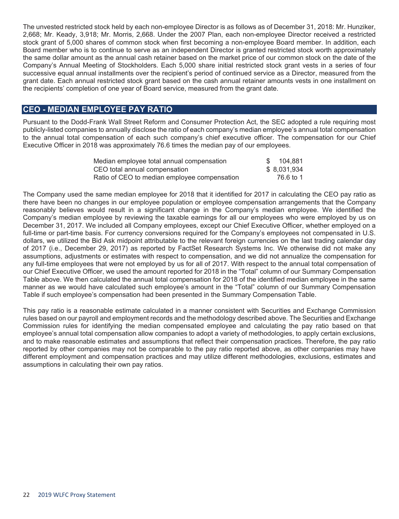The unvested restricted stock held by each non-employee Director is as follows as of December 31, 2018: Mr. Hunziker, 2,668; Mr. Keady, 3,918; Mr. Morris, 2,668. Under the 2007 Plan, each non-employee Director received a restricted stock grant of 5,000 shares of common stock when first becoming a non-employee Board member. In addition, each Board member who is to continue to serve as an independent Director is granted restricted stock worth approximately the same dollar amount as the annual cash retainer based on the market price of our common stock on the date of the Company's Annual Meeting of Stockholders. Each 5,000 share initial restricted stock grant vests in a series of four successive equal annual installments over the recipient's period of continued service as a Director, measured from the grant date. Each annual restricted stock grant based on the cash annual retainer amounts vests in one installment on the recipients' completion of one year of Board service, measured from the grant date.

# **CEO - MEDIAN EMPLOYEE PAY RATIO**

Pursuant to the Dodd-Frank Wall Street Reform and Consumer Protection Act, the SEC adopted a rule requiring most publicly-listed companies to annually disclose the ratio of each company's median employee's annual total compensation to the annual total compensation of each such company's chief executive officer. The compensation for our Chief Executive Officer in 2018 was approximately 76.6 times the median pay of our employees.

| Median employee total annual compensation    | 104.881      |
|----------------------------------------------|--------------|
| CEO total annual compensation                | \$ 8,031,934 |
| Ratio of CEO to median employee compensation | 76.6 to 1    |

The Company used the same median employee for 2018 that it identified for 2017 in calculating the CEO pay ratio as there have been no changes in our employee population or employee compensation arrangements that the Company reasonably believes would result in a significant change in the Company's median employee. We identified the Company's median employee by reviewing the taxable earnings for all our employees who were employed by us on December 31, 2017. We included all Company employees, except our Chief Executive Officer, whether employed on a full-time or part-time basis. For currency conversions required for the Company's employees not compensated in U.S. dollars, we utilized the Bid Ask midpoint attributable to the relevant foreign currencies on the last trading calendar day of 2017 (i.e., December 29, 2017) as reported by FactSet Research Systems Inc. We otherwise did not make any assumptions, adjustments or estimates with respect to compensation, and we did not annualize the compensation for any full-time employees that were not employed by us for all of 2017. With respect to the annual total compensation of our Chief Executive Officer, we used the amount reported for 2018 in the "Total" column of our Summary Compensation Table above. We then calculated the annual total compensation for 2018 of the identified median employee in the same manner as we would have calculated such employee's amount in the "Total" column of our Summary Compensation Table if such employee's compensation had been presented in the Summary Compensation Table.

This pay ratio is a reasonable estimate calculated in a manner consistent with Securities and Exchange Commission rules based on our payroll and employment records and the methodology described above. The Securities and Exchange Commission rules for identifying the median compensated employee and calculating the pay ratio based on that employee's annual total compensation allow companies to adopt a variety of methodologies, to apply certain exclusions, and to make reasonable estimates and assumptions that reflect their compensation practices. Therefore, the pay ratio reported by other companies may not be comparable to the pay ratio reported above, as other companies may have different employment and compensation practices and may utilize different methodologies, exclusions, estimates and assumptions in calculating their own pay ratios.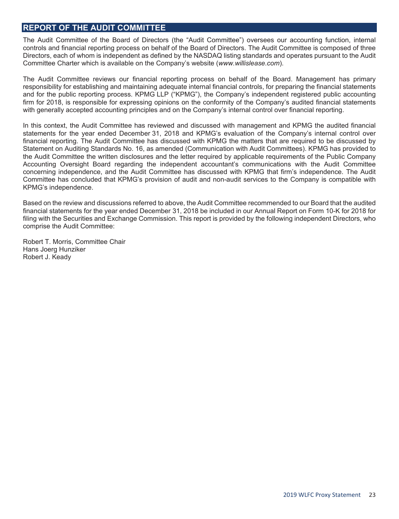# **REPORT OF THE AUDIT COMMITTEE**

The Audit Committee of the Board of Directors (the "Audit Committee") oversees our accounting function, internal controls and financial reporting process on behalf of the Board of Directors. The Audit Committee is composed of three Directors, each of whom is independent as defined by the NASDAQ listing standards and operates pursuant to the Audit Committee Charter which is available on the Company's website (*www.willislease.com*).

The Audit Committee reviews our financial reporting process on behalf of the Board. Management has primary responsibility for establishing and maintaining adequate internal financial controls, for preparing the financial statements and for the public reporting process. KPMG LLP ("KPMG"), the Company's independent registered public accounting firm for 2018, is responsible for expressing opinions on the conformity of the Company's audited financial statements with generally accepted accounting principles and on the Company's internal control over financial reporting.

In this context, the Audit Committee has reviewed and discussed with management and KPMG the audited financial statements for the year ended December 31, 2018 and KPMG's evaluation of the Company's internal control over financial reporting. The Audit Committee has discussed with KPMG the matters that are required to be discussed by Statement on Auditing Standards No. 16, as amended (Communication with Audit Committees). KPMG has provided to the Audit Committee the written disclosures and the letter required by applicable requirements of the Public Company Accounting Oversight Board regarding the independent accountant's communications with the Audit Committee concerning independence, and the Audit Committee has discussed with KPMG that firm's independence. The Audit Committee has concluded that KPMG's provision of audit and non-audit services to the Company is compatible with KPMG's independence.

Based on the review and discussions referred to above, the Audit Committee recommended to our Board that the audited financial statements for the year ended December 31, 2018 be included in our Annual Report on Form 10-K for 2018 for filing with the Securities and Exchange Commission. This report is provided by the following independent Directors, who comprise the Audit Committee:

Robert T. Morris, Committee Chair Hans Joerg Hunziker Robert J. Keady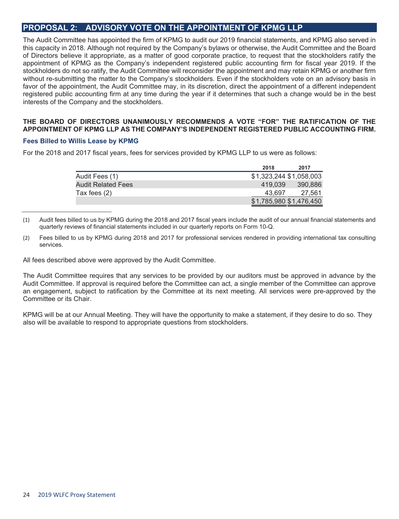# **PROPOSAL 2: ADVISORY VOTE ON THE APPOINTMENT OF KPMG LLP**

The Audit Committee has appointed the firm of KPMG to audit our 2019 financial statements, and KPMG also served in this capacity in 2018. Although not required by the Company's bylaws or otherwise, the Audit Committee and the Board of Directors believe it appropriate, as a matter of good corporate practice, to request that the stockholders ratify the appointment of KPMG as the Company's independent registered public accounting firm for fiscal year 2019. If the stockholders do not so ratify, the Audit Committee will reconsider the appointment and may retain KPMG or another firm without re-submitting the matter to the Company's stockholders. Even if the stockholders vote on an advisory basis in favor of the appointment, the Audit Committee may, in its discretion, direct the appointment of a different independent registered public accounting firm at any time during the year if it determines that such a change would be in the best interests of the Company and the stockholders.

#### **THE BOARD OF DIRECTORS UNANIMOUSLY RECOMMENDS A VOTE "FOR" THE RATIFICATION OF THE APPOINTMENT OF KPMG LLP AS THE COMPANY'S INDEPENDENT REGISTERED PUBLIC ACCOUNTING FIRM.**

#### **Fees Billed to Willis Lease by KPMG**

For the 2018 and 2017 fiscal years, fees for services provided by KPMG LLP to us were as follows:

|                           | 2018                    | 2017    |
|---------------------------|-------------------------|---------|
| Audit Fees (1)            | \$1,323,244 \$1,058,003 |         |
| <b>Audit Related Fees</b> | 419.039                 | 390.886 |
| Tax fees $(2)$            | 43.697                  | 27.561  |
|                           | \$1,785,980 \$1,476,450 |         |

<sup>(1)</sup> Audit fees billed to us by KPMG during the 2018 and 2017 fiscal years include the audit of our annual financial statements and quarterly reviews of financial statements included in our quarterly reports on Form 10-Q.

All fees described above were approved by the Audit Committee.

The Audit Committee requires that any services to be provided by our auditors must be approved in advance by the Audit Committee. If approval is required before the Committee can act, a single member of the Committee can approve an engagement, subject to ratification by the Committee at its next meeting. All services were pre-approved by the Committee or its Chair.

KPMG will be at our Annual Meeting. They will have the opportunity to make a statement, if they desire to do so. They also will be available to respond to appropriate questions from stockholders.

<sup>(2)</sup> Fees billed to us by KPMG during 2018 and 2017 for professional services rendered in providing international tax consulting services.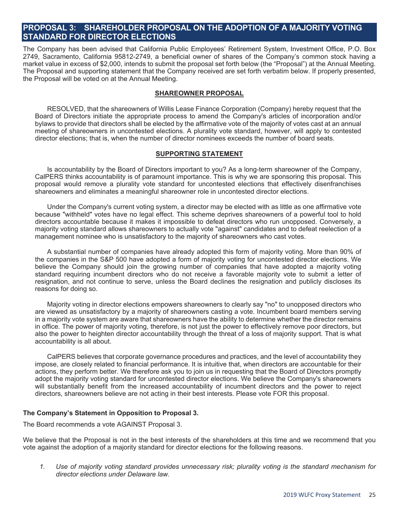# **PROPOSAL 3: SHAREHOLDER PROPOSAL ON THE ADOPTION OF A MAJORITY VOTING STANDARD FOR DIRECTOR ELECTIONS**

The Company has been advised that California Public Employees' Retirement System, Investment Office, P.O. Box 2749, Sacramento, California 95812-2749, a beneficial owner of shares of the Company's common stock having a market value in excess of \$2,000, intends to submit the proposal set forth below (the "Proposal") at the Annual Meeting. The Proposal and supporting statement that the Company received are set forth verbatim below. If properly presented, the Proposal will be voted on at the Annual Meeting.

#### **SHAREOWNER PROPOSAL**

RESOLVED, that the shareowners of Willis Lease Finance Corporation (Company) hereby request that the Board of Directors initiate the appropriate process to amend the Company's articles of incorporation and/or bylaws to provide that directors shall be elected by the affirmative vote of the majority of votes cast at an annual meeting of shareowners in uncontested elections. A plurality vote standard, however, will apply to contested director elections; that is, when the number of director nominees exceeds the number of board seats.

#### **SUPPORTING STATEMENT**

Is accountability by the Board of Directors important to you? As a long-term shareowner of the Company, CalPERS thinks accountability is of paramount importance. This is why we are sponsoring this proposal. This proposal would remove a plurality vote standard for uncontested elections that effectively disenfranchises shareowners and eliminates a meaningful shareowner role in uncontested director elections.

Under the Company's current voting system, a director may be elected with as little as one affirmative vote because "withheld" votes have no legal effect. This scheme deprives shareowners of a powerful tool to hold directors accountable because it makes it impossible to defeat directors who run unopposed. Conversely, a majority voting standard allows shareowners to actually vote "against" candidates and to defeat reelection of a management nominee who is unsatisfactory to the majority of shareowners who cast votes.

A substantial number of companies have already adopted this form of majority voting. More than 90% of the companies in the S&P 500 have adopted a form of majority voting for uncontested director elections. We believe the Company should join the growing number of companies that have adopted a majority voting standard requiring incumbent directors who do not receive a favorable majority vote to submit a letter of resignation, and not continue to serve, unless the Board declines the resignation and publicly discloses its reasons for doing so.

Majority voting in director elections empowers shareowners to clearly say "no" to unopposed directors who are viewed as unsatisfactory by a majority of shareowners casting a vote. Incumbent board members serving in a majority vote system are aware that shareowners have the ability to determine whether the director remains in office. The power of majority voting, therefore, is not just the power to effectively remove poor directors, but also the power to heighten director accountability through the threat of a loss of majority support. That is what accountability is all about.

CalPERS believes that corporate governance procedures and practices, and the level of accountability they impose, are closely related to financial performance. It is intuitive that, when directors are accountable for their actions, they perform better. We therefore ask you to join us in requesting that the Board of Directors promptly adopt the majority voting standard for uncontested director elections. We believe the Company's shareowners will substantially benefit from the increased accountability of incumbent directors and the power to reject directors, shareowners believe are not acting in their best interests. Please vote FOR this proposal.

#### **The Company's Statement in Opposition to Proposal 3.**

The Board recommends a vote AGAINST Proposal 3.

We believe that the Proposal is not in the best interests of the shareholders at this time and we recommend that you vote against the adoption of a majority standard for director elections for the following reasons.

*1. Use of majority voting standard provides unnecessary risk; plurality voting is the standard mechanism for director elections under Delaware law.*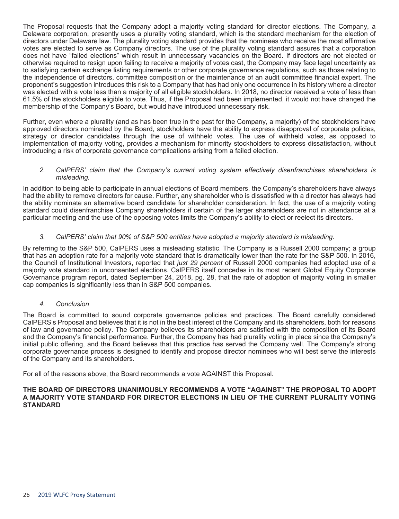The Proposal requests that the Company adopt a majority voting standard for director elections. The Company, a Delaware corporation, presently uses a plurality voting standard, which is the standard mechanism for the election of directors under Delaware law. The plurality voting standard provides that the nominees who receive the most affirmative votes are elected to serve as Company directors. The use of the plurality voting standard assures that a corporation does not have "failed elections" which result in unnecessary vacancies on the Board. If directors are not elected or otherwise required to resign upon failing to receive a majority of votes cast, the Company may face legal uncertainty as to satisfying certain exchange listing requirements or other corporate governance regulations, such as those relating to the independence of directors, committee composition or the maintenance of an audit committee financial expert. The proponent's suggestion introduces this risk to a Company that has had only one occurrence in its history where a director was elected with a vote less than a majority of all eligible stockholders. In 2018, no director received a vote of less than 61.5% of the stockholders eligible to vote. Thus, if the Proposal had been implemented, it would not have changed the membership of the Company's Board, but would have introduced unnecessary risk.

Further, even where a plurality (and as has been true in the past for the Company, a majority) of the stockholders have approved directors nominated by the Board, stockholders have the ability to express disapproval of corporate policies, strategy or director candidates through the use of withheld votes. The use of withheld votes, as opposed to implementation of majority voting, provides a mechanism for minority stockholders to express dissatisfaction, without introducing a risk of corporate governance complications arising from a failed election.

#### *2. CalPERS' claim that the Company's current voting system effectively disenfranchises shareholders is misleading.*

In addition to being able to participate in annual elections of Board members, the Company's shareholders have always had the ability to remove directors for cause. Further, any shareholder who is dissatisfied with a director has always had the ability nominate an alternative board candidate for shareholder consideration. In fact, the use of a majority voting standard could disenfranchise Company shareholders if certain of the larger shareholders are not in attendance at a particular meeting and the use of the opposing votes limits the Company's ability to elect or reelect its directors.

#### *3. CalPERS' claim that 90% of S&P 500 entities have adopted a majority standard is misleading.*

By referring to the S&P 500, CalPERS uses a misleading statistic. The Company is a Russell 2000 company; a group that has an adoption rate for a majority vote standard that is dramatically lower than the rate for the S&P 500. In 2016, the Council of Institutional Investors, reported that *just 29 percent* of Russell 2000 companies had adopted use of a majority vote standard in unconsented elections. CalPERS itself concedes in its most recent Global Equity Corporate Governance program report, dated September 24, 2018, pg. 28, that the rate of adoption of majority voting in smaller cap companies is significantly less than in S&P 500 companies.

#### *4. Conclusion*

The Board is committed to sound corporate governance policies and practices. The Board carefully considered CalPERS's Proposal and believes that it is not in the best interest of the Company and its shareholders, both for reasons of law and governance policy. The Company believes its shareholders are satisfied with the composition of its Board and the Company's financial performance. Further, the Company has had plurality voting in place since the Company's initial public offering, and the Board believes that this practice has served the Company well. The Company's strong corporate governance process is designed to identify and propose director nominees who will best serve the interests of the Company and its shareholders.

For all of the reasons above, the Board recommends a vote AGAINST this Proposal.

#### **THE BOARD OF DIRECTORS UNANIMOUSLY RECOMMENDS A VOTE "AGAINST" THE PROPOSAL TO ADOPT A MAJORITY VOTE STANDARD FOR DIRECTOR ELECTIONS IN LIEU OF THE CURRENT PLURALITY VOTING STANDARD**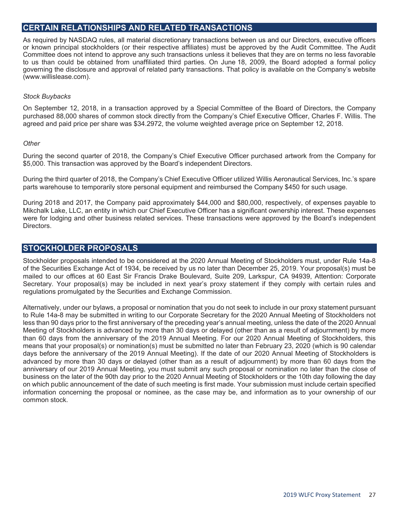# **CERTAIN RELATIONSHIPS AND RELATED TRANSACTIONS**

As required by NASDAQ rules, all material discretionary transactions between us and our Directors, executive officers or known principal stockholders (or their respective affiliates) must be approved by the Audit Committee. The Audit Committee does not intend to approve any such transactions unless it believes that they are on terms no less favorable to us than could be obtained from unaffiliated third parties. On June 18, 2009, the Board adopted a formal policy governing the disclosure and approval of related party transactions. That policy is available on the Company's website (www.willislease.com).

#### *Stock Buybacks*

On September 12, 2018, in a transaction approved by a Special Committee of the Board of Directors, the Company purchased 88,000 shares of common stock directly from the Company's Chief Executive Officer, Charles F. Willis. The agreed and paid price per share was \$34.2972, the volume weighted average price on September 12, 2018.

#### *Other*

During the second quarter of 2018, the Company's Chief Executive Officer purchased artwork from the Company for \$5,000. This transaction was approved by the Board's independent Directors.

During the third quarter of 2018, the Company's Chief Executive Officer utilized Willis Aeronautical Services, Inc.'s spare parts warehouse to temporarily store personal equipment and reimbursed the Company \$450 for such usage.

During 2018 and 2017, the Company paid approximately \$44,000 and \$80,000, respectively, of expenses payable to Mikchalk Lake, LLC, an entity in which our Chief Executive Officer has a significant ownership interest. These expenses were for lodging and other business related services. These transactions were approved by the Board's independent Directors.

# **STOCKHOLDER PROPOSALS**

Stockholder proposals intended to be considered at the 2020 Annual Meeting of Stockholders must, under Rule 14a-8 of the Securities Exchange Act of 1934, be received by us no later than December 25, 2019. Your proposal(s) must be mailed to our offices at 60 East Sir Francis Drake Boulevard, Suite 209, Larkspur, CA 94939, Attention: Corporate Secretary. Your proposal(s) may be included in next year's proxy statement if they comply with certain rules and regulations promulgated by the Securities and Exchange Commission.

Alternatively, under our bylaws, a proposal or nomination that you do not seek to include in our proxy statement pursuant to Rule 14a-8 may be submitted in writing to our Corporate Secretary for the 2020 Annual Meeting of Stockholders not less than 90 days prior to the first anniversary of the preceding year's annual meeting, unless the date of the 2020 Annual Meeting of Stockholders is advanced by more than 30 days or delayed (other than as a result of adjournment) by more than 60 days from the anniversary of the 2019 Annual Meeting. For our 2020 Annual Meeting of Stockholders, this means that your proposal(s) or nomination(s) must be submitted no later than February 23, 2020 (which is 90 calendar days before the anniversary of the 2019 Annual Meeting). If the date of our 2020 Annual Meeting of Stockholders is advanced by more than 30 days or delayed (other than as a result of adjournment) by more than 60 days from the anniversary of our 2019 Annual Meeting, you must submit any such proposal or nomination no later than the close of business on the later of the 90th day prior to the 2020 Annual Meeting of Stockholders or the 10th day following the day on which public announcement of the date of such meeting is first made. Your submission must include certain specified information concerning the proposal or nominee, as the case may be, and information as to your ownership of our common stock.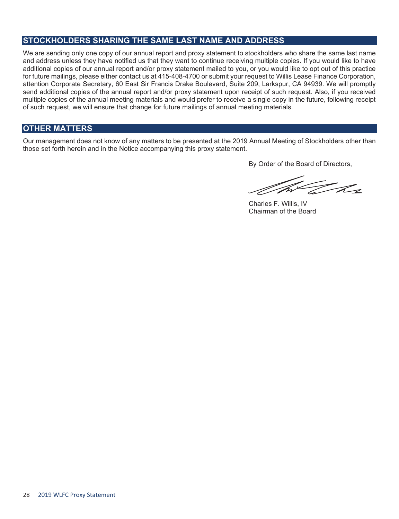# **STOCKHOLDERS SHARING THE SAME LAST NAME AND ADDRESS**

We are sending only one copy of our annual report and proxy statement to stockholders who share the same last name and address unless they have notified us that they want to continue receiving multiple copies. If you would like to have additional copies of our annual report and/or proxy statement mailed to you, or you would like to opt out of this practice for future mailings, please either contact us at 415-408-4700 or submit your request to Willis Lease Finance Corporation, attention Corporate Secretary, 60 East Sir Francis Drake Boulevard, Suite 209, Larkspur, CA 94939. We will promptly send additional copies of the annual report and/or proxy statement upon receipt of such request. Also, if you received multiple copies of the annual meeting materials and would prefer to receive a single copy in the future, following receipt of such request, we will ensure that change for future mailings of annual meeting materials.

# **OTHER MATTERS**

Our management does not know of any matters to be presented at the 2019 Annual Meeting of Stockholders other than those set forth herein and in the Notice accompanying this proxy statement.

By Order of the Board of Directors,

Tr h s

Charles F. Willis, IV Chairman of the Board